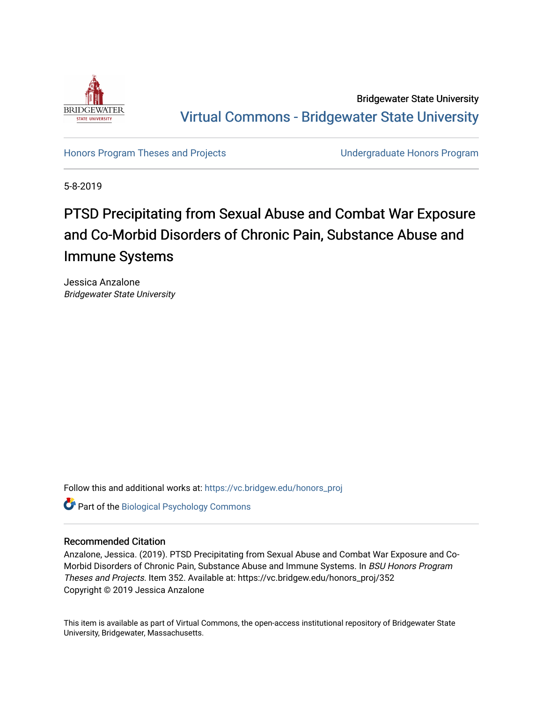

Bridgewater State University [Virtual Commons - Bridgewater State University](https://vc.bridgew.edu/) 

[Honors Program Theses and Projects](https://vc.bridgew.edu/honors_proj) [Undergraduate Honors Program](https://vc.bridgew.edu/honors) 

5-8-2019

# PTSD Precipitating from Sexual Abuse and Combat War Exposure and Co-Morbid Disorders of Chronic Pain, Substance Abuse and Immune Systems

Jessica Anzalone Bridgewater State University

Follow this and additional works at: [https://vc.bridgew.edu/honors\\_proj](https://vc.bridgew.edu/honors_proj?utm_source=vc.bridgew.edu%2Fhonors_proj%2F352&utm_medium=PDF&utm_campaign=PDFCoverPages)

Part of the [Biological Psychology Commons](http://network.bepress.com/hgg/discipline/405?utm_source=vc.bridgew.edu%2Fhonors_proj%2F352&utm_medium=PDF&utm_campaign=PDFCoverPages) 

#### Recommended Citation

Anzalone, Jessica. (2019). PTSD Precipitating from Sexual Abuse and Combat War Exposure and Co-Morbid Disorders of Chronic Pain, Substance Abuse and Immune Systems. In BSU Honors Program Theses and Projects. Item 352. Available at: https://vc.bridgew.edu/honors\_proj/352 Copyright © 2019 Jessica Anzalone

This item is available as part of Virtual Commons, the open-access institutional repository of Bridgewater State University, Bridgewater, Massachusetts.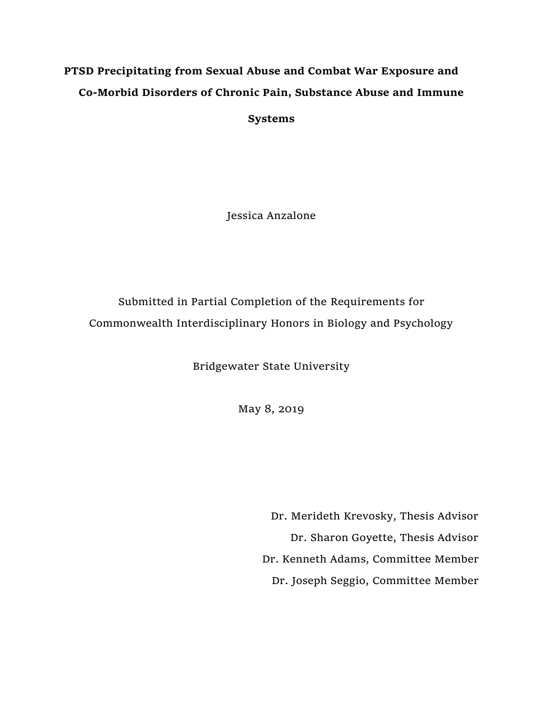# **PTSD Precipitating from Sexual Abuse and Combat War Exposure and Co-Morbid Disorders of Chronic Pain, Substance Abuse and Immune**

**Systems**

Jessica Anzalone

Submitted in Partial Completion of the Requirements for Commonwealth Interdisciplinary Honors in Biology and Psychology

Bridgewater State University

May 8, 2019

Dr. Merideth Krevosky, Thesis Advisor Dr. Sharon Goyette, Thesis Advisor Dr. Kenneth Adams, Committee Member Dr. Joseph Seggio, Committee Member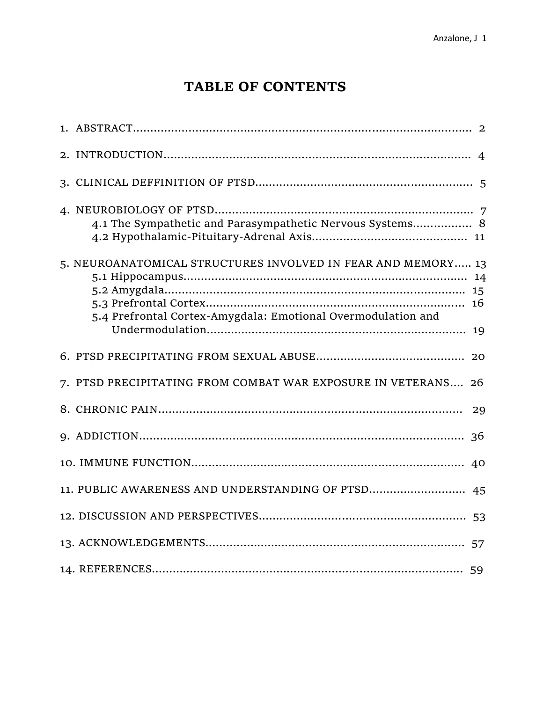# **TABLE OF CONTENTS**

| 4.1 The Sympathetic and Parasympathetic Nervous Systems 8                                                                    |    |
|------------------------------------------------------------------------------------------------------------------------------|----|
| 5. NEUROANATOMICAL STRUCTURES INVOLVED IN FEAR AND MEMORY 13<br>5.4 Prefrontal Cortex-Amygdala: Emotional Overmodulation and |    |
|                                                                                                                              |    |
| 7. PTSD PRECIPITATING FROM COMBAT WAR EXPOSURE IN VETERANS 26                                                                |    |
|                                                                                                                              | 29 |
|                                                                                                                              | 36 |
|                                                                                                                              |    |
| 11. PUBLIC AWARENESS AND UNDERSTANDING OF PTSD 45                                                                            |    |
|                                                                                                                              |    |
|                                                                                                                              |    |
|                                                                                                                              |    |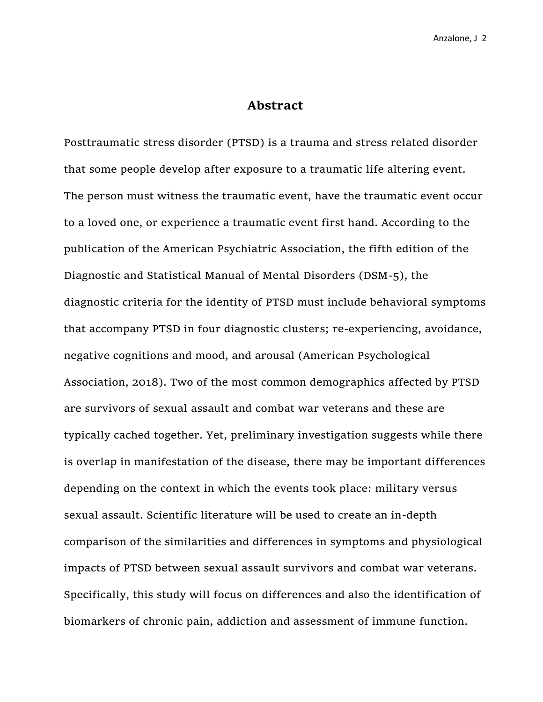### **Abstract**

Posttraumatic stress disorder (PTSD) is a trauma and stress related disorder that some people develop after exposure to a traumatic life altering event. The person must witness the traumatic event, have the traumatic event occur to a loved one, or experience a traumatic event first hand. According to the publication of the American Psychiatric Association, the fifth edition of the Diagnostic and Statistical Manual of Mental Disorders (DSM-5), the diagnostic criteria for the identity of PTSD must include behavioral symptoms that accompany PTSD in four diagnostic clusters; re-experiencing, avoidance, negative cognitions and mood, and arousal (American Psychological Association, 2018). Two of the most common demographics affected by PTSD are survivors of sexual assault and combat war veterans and these are typically cached together. Yet, preliminary investigation suggests while there is overlap in manifestation of the disease, there may be important differences depending on the context in which the events took place: military versus sexual assault. Scientific literature will be used to create an in-depth comparison of the similarities and differences in symptoms and physiological impacts of PTSD between sexual assault survivors and combat war veterans. Specifically, this study will focus on differences and also the identification of biomarkers of chronic pain, addiction and assessment of immune function.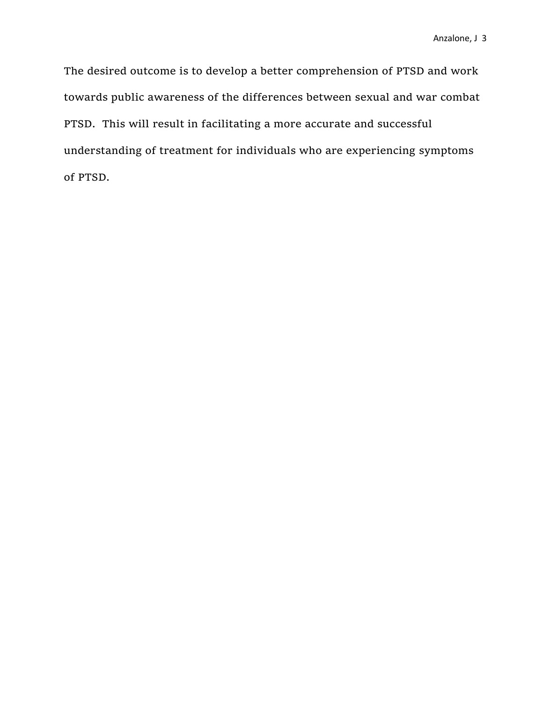The desired outcome is to develop a better comprehension of PTSD and work towards public awareness of the differences between sexual and war combat PTSD. This will result in facilitating a more accurate and successful understanding of treatment for individuals who are experiencing symptoms of PTSD.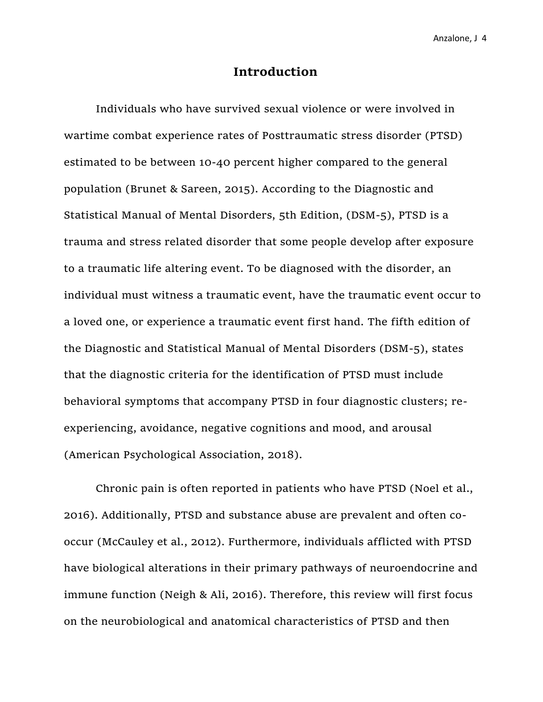#### **Introduction**

Individuals who have survived sexual violence or were involved in wartime combat experience rates of Posttraumatic stress disorder (PTSD) estimated to be between 10-40 percent higher compared to the general population (Brunet & Sareen, 2015). According to the Diagnostic and Statistical Manual of Mental Disorders, 5th Edition, (DSM-5), PTSD is a trauma and stress related disorder that some people develop after exposure to a traumatic life altering event. To be diagnosed with the disorder, an individual must witness a traumatic event, have the traumatic event occur to a loved one, or experience a traumatic event first hand. The fifth edition of the Diagnostic and Statistical Manual of Mental Disorders (DSM-5), states that the diagnostic criteria for the identification of PTSD must include behavioral symptoms that accompany PTSD in four diagnostic clusters; reexperiencing, avoidance, negative cognitions and mood, and arousal (American Psychological Association, 2018).

Chronic pain is often reported in patients who have PTSD (Noel et al., 2016). Additionally, PTSD and substance abuse are prevalent and often cooccur (McCauley et al., 2012). Furthermore, individuals afflicted with PTSD have biological alterations in their primary pathways of neuroendocrine and immune function (Neigh & Ali, 2016). Therefore, this review will first focus on the neurobiological and anatomical characteristics of PTSD and then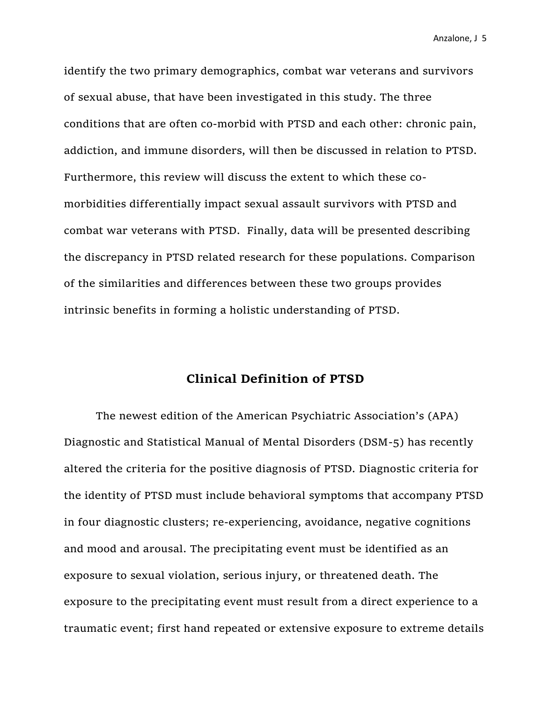identify the two primary demographics, combat war veterans and survivors of sexual abuse, that have been investigated in this study. The three conditions that are often co-morbid with PTSD and each other: chronic pain, addiction, and immune disorders, will then be discussed in relation to PTSD. Furthermore, this review will discuss the extent to which these comorbidities differentially impact sexual assault survivors with PTSD and combat war veterans with PTSD. Finally, data will be presented describing the discrepancy in PTSD related research for these populations. Comparison of the similarities and differences between these two groups provides intrinsic benefits in forming a holistic understanding of PTSD.

# **Clinical Definition of PTSD**

The newest edition of the American Psychiatric Association's (APA) Diagnostic and Statistical Manual of Mental Disorders (DSM-5) has recently altered the criteria for the positive diagnosis of PTSD. Diagnostic criteria for the identity of PTSD must include behavioral symptoms that accompany PTSD in four diagnostic clusters; re-experiencing, avoidance, negative cognitions and mood and arousal. The precipitating event must be identified as an exposure to sexual violation, serious injury, or threatened death. The exposure to the precipitating event must result from a direct experience to a traumatic event; first hand repeated or extensive exposure to extreme details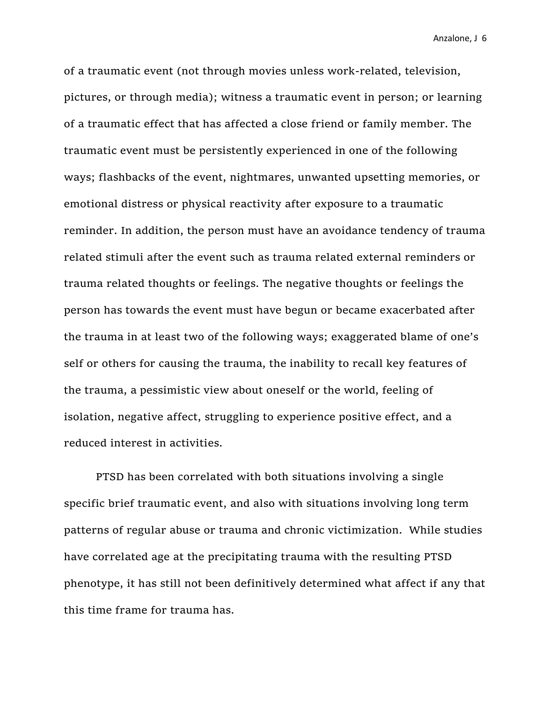of a traumatic event (not through movies unless work-related, television, pictures, or through media); witness a traumatic event in person; or learning of a traumatic effect that has affected a close friend or family member. The traumatic event must be persistently experienced in one of the following ways; flashbacks of the event, nightmares, unwanted upsetting memories, or emotional distress or physical reactivity after exposure to a traumatic reminder. In addition, the person must have an avoidance tendency of trauma related stimuli after the event such as trauma related external reminders or trauma related thoughts or feelings. The negative thoughts or feelings the person has towards the event must have begun or became exacerbated after the trauma in at least two of the following ways; exaggerated blame of one's self or others for causing the trauma, the inability to recall key features of the trauma, a pessimistic view about oneself or the world, feeling of isolation, negative affect, struggling to experience positive effect, and a reduced interest in activities.

PTSD has been correlated with both situations involving a single specific brief traumatic event, and also with situations involving long term patterns of regular abuse or trauma and chronic victimization. While studies have correlated age at the precipitating trauma with the resulting PTSD phenotype, it has still not been definitively determined what affect if any that this time frame for trauma has.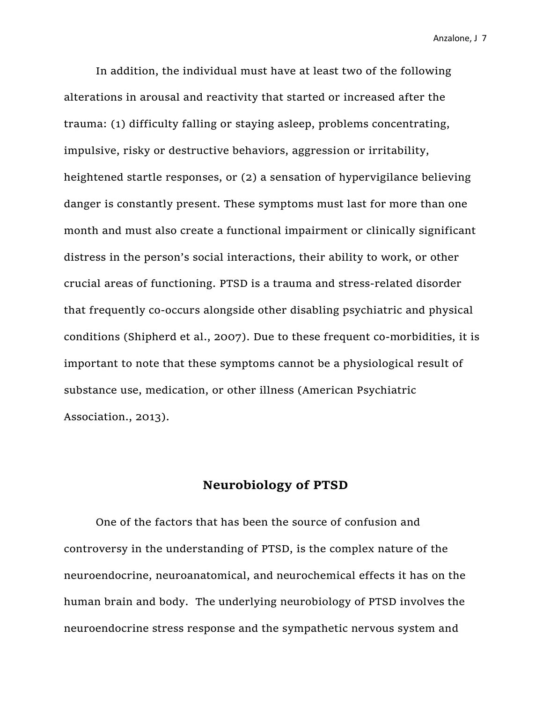In addition, the individual must have at least two of the following alterations in arousal and reactivity that started or increased after the trauma: (1) difficulty falling or staying asleep, problems concentrating, impulsive, risky or destructive behaviors, aggression or irritability, heightened startle responses, or (2) a sensation of hypervigilance believing danger is constantly present. These symptoms must last for more than one month and must also create a functional impairment or clinically significant distress in the person's social interactions, their ability to work, or other crucial areas of functioning. PTSD is a trauma and stress-related disorder that frequently co-occurs alongside other disabling psychiatric and physical conditions (Shipherd et al., 2007). Due to these frequent co-morbidities, it is important to note that these symptoms cannot be a physiological result of substance use, medication, or other illness (American Psychiatric Association., 2013).

# **Neurobiology of PTSD**

One of the factors that has been the source of confusion and controversy in the understanding of PTSD, is the complex nature of the neuroendocrine, neuroanatomical, and neurochemical effects it has on the human brain and body. The underlying neurobiology of PTSD involves the neuroendocrine stress response and the sympathetic nervous system and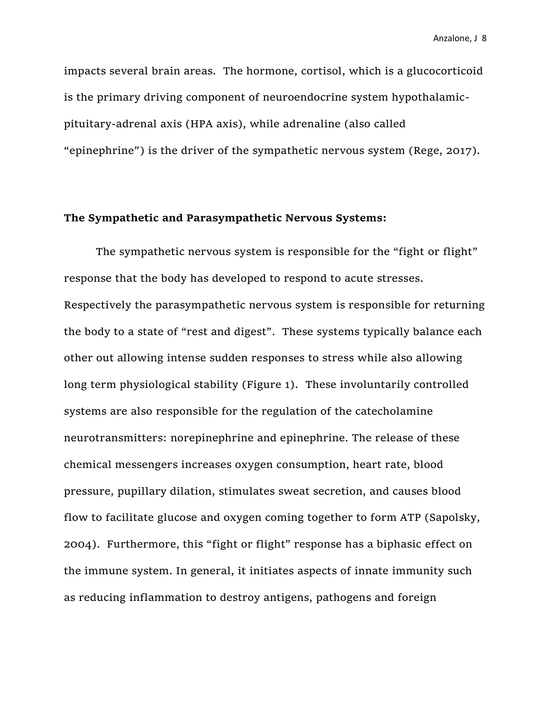impacts several brain areas. The hormone, cortisol, which is a glucocorticoid is the primary driving component of neuroendocrine system hypothalamicpituitary-adrenal axis (HPA axis), while adrenaline (also called "epinephrine") is the driver of the sympathetic nervous system (Rege, 2017).

#### **The Sympathetic and Parasympathetic Nervous Systems:**

The sympathetic nervous system is responsible for the "fight or flight" response that the body has developed to respond to acute stresses. Respectively the parasympathetic nervous system is responsible for returning the body to a state of "rest and digest". These systems typically balance each other out allowing intense sudden responses to stress while also allowing long term physiological stability (Figure 1). These involuntarily controlled systems are also responsible for the regulation of the catecholamine neurotransmitters: norepinephrine and epinephrine. The release of these chemical messengers increases oxygen consumption, heart rate, blood pressure, pupillary dilation, stimulates sweat secretion, and causes blood flow to facilitate glucose and oxygen coming together to form ATP (Sapolsky, 2004). Furthermore, this "fight or flight" response has a biphasic effect on the immune system. In general, it initiates aspects of innate immunity such as reducing inflammation to destroy antigens, pathogens and foreign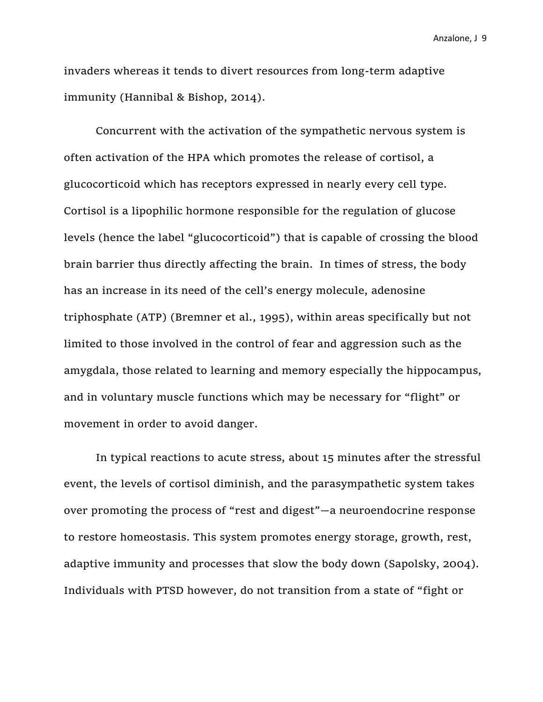invaders whereas it tends to divert resources from long-term adaptive immunity (Hannibal & Bishop, 2014).

Concurrent with the activation of the sympathetic nervous system is often activation of the HPA which promotes the release of cortisol, a glucocorticoid which has receptors expressed in nearly every cell type. Cortisol is a lipophilic hormone responsible for the regulation of glucose levels (hence the label "glucocorticoid") that is capable of crossing the blood brain barrier thus directly affecting the brain. In times of stress, the body has an increase in its need of the cell's energy molecule, adenosine triphosphate (ATP) (Bremner et al., 1995), within areas specifically but not limited to those involved in the control of fear and aggression such as the amygdala, those related to learning and memory especially the hippocampus, and in voluntary muscle functions which may be necessary for "flight" or movement in order to avoid danger.

In typical reactions to acute stress, about 15 minutes after the stressful event, the levels of cortisol diminish, and the parasympathetic system takes over promoting the process of "rest and digest"—a neuroendocrine response to restore homeostasis. This system promotes energy storage, growth, rest, adaptive immunity and processes that slow the body down (Sapolsky, 2004). Individuals with PTSD however, do not transition from a state of "fight or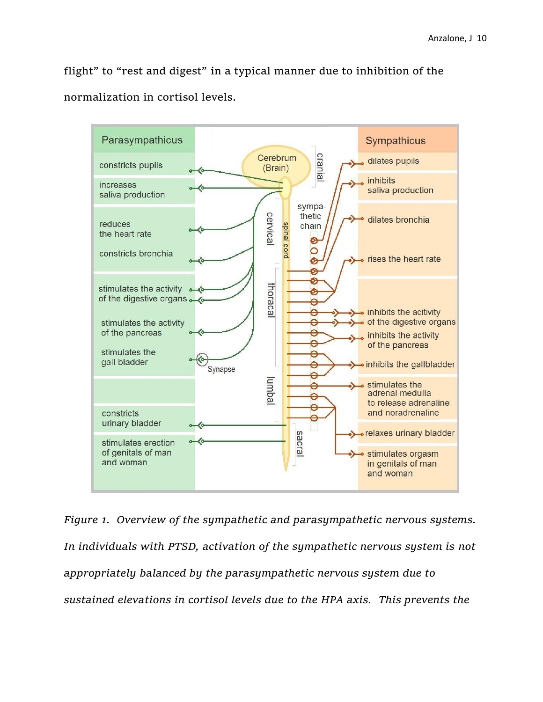flight" to "rest and digest" in a typical manner due to inhibition of the normalization in cortisol levels.



*Figure 1. Overview of the sympathetic and parasympathetic nervous systems. In individuals with PTSD, activation of the sympathetic nervous system is not appropriately balanced by the parasympathetic nervous system due to sustained elevations in cortisol levels due to the HPA axis. This prevents the*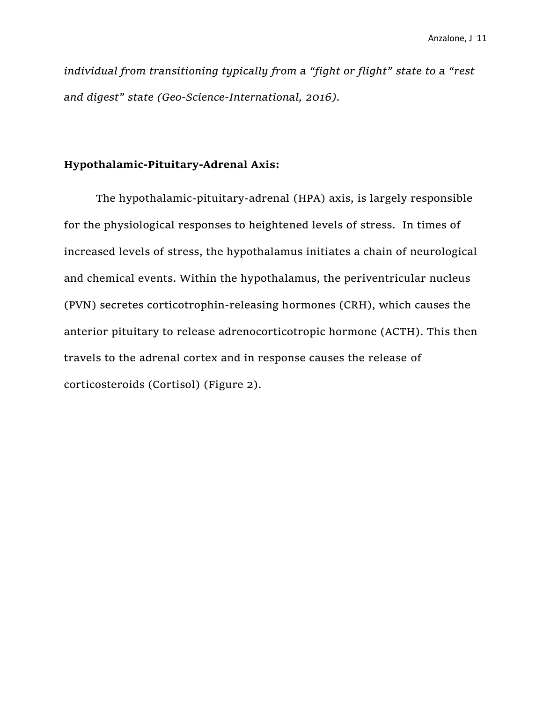*individual from transitioning typically from a "fight or flight" state to a "rest and digest" state (Geo-Science-International, 2016).*

## **Hypothalamic-Pituitary-Adrenal Axis:**

The hypothalamic-pituitary-adrenal (HPA) axis, is largely responsible for the physiological responses to heightened levels of stress. In times of increased levels of stress, the hypothalamus initiates a chain of neurological and chemical events. Within the hypothalamus, the periventricular nucleus (PVN) secretes corticotrophin-releasing hormones (CRH), which causes the anterior pituitary to release adrenocorticotropic hormone (ACTH). This then travels to the adrenal cortex and in response causes the release of corticosteroids (Cortisol) (Figure 2).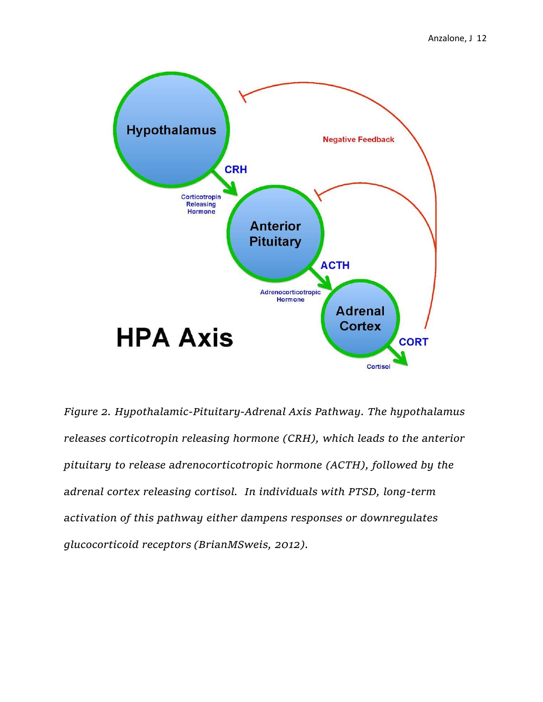

*Figure 2. Hypothalamic-Pituitary-Adrenal Axis Pathway. The hypothalamus releases corticotropin releasing hormone (CRH), which leads to the anterior pituitary to release adrenocorticotropic hormone (ACTH), followed by the adrenal cortex releasing cortisol. In individuals with PTSD, long-term activation of this pathway either dampens responses or downregulates glucocorticoid receptors (BrianMSweis, 2012).*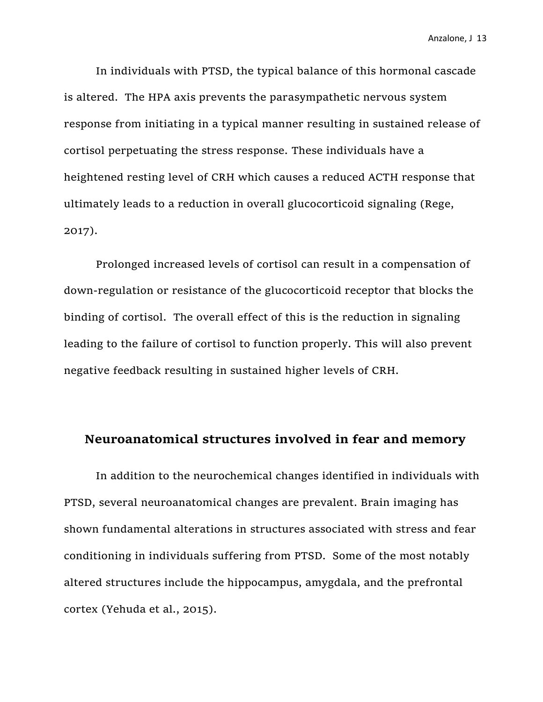In individuals with PTSD, the typical balance of this hormonal cascade is altered. The HPA axis prevents the parasympathetic nervous system response from initiating in a typical manner resulting in sustained release of cortisol perpetuating the stress response. These individuals have a heightened resting level of CRH which causes a reduced ACTH response that ultimately leads to a reduction in overall glucocorticoid signaling (Rege, 2017).

Prolonged increased levels of cortisol can result in a compensation of down-regulation or resistance of the glucocorticoid receptor that blocks the binding of cortisol. The overall effect of this is the reduction in signaling leading to the failure of cortisol to function properly. This will also prevent negative feedback resulting in sustained higher levels of CRH.

## **Neuroanatomical structures involved in fear and memory**

In addition to the neurochemical changes identified in individuals with PTSD, several neuroanatomical changes are prevalent. Brain imaging has shown fundamental alterations in structures associated with stress and fear conditioning in individuals suffering from PTSD. Some of the most notably altered structures include the hippocampus, amygdala, and the prefrontal cortex (Yehuda et al., 2015).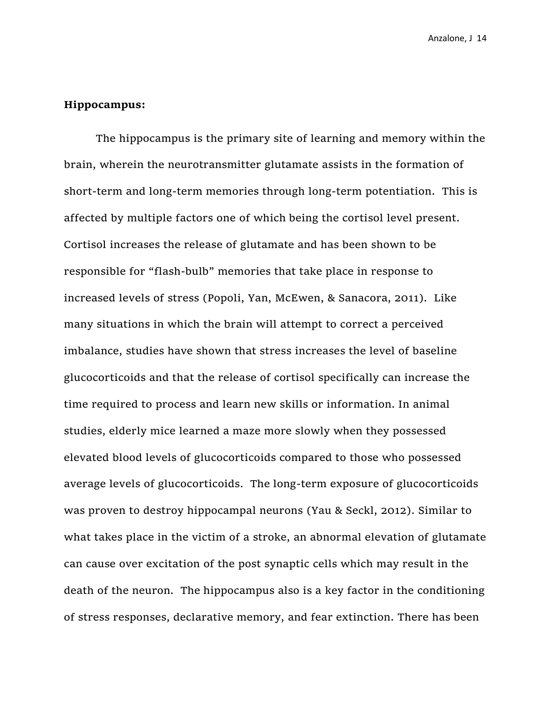#### **Hippocampus:**

The hippocampus is the primary site of learning and memory within the brain, wherein the neurotransmitter glutamate assists in the formation of short-term and long-term memories through long-term potentiation. This is affected by multiple factors one of which being the cortisol level present. Cortisol increases the release of glutamate and has been shown to be responsible for "flash-bulb" memories that take place in response to increased levels of stress (Popoli, Yan, McEwen, & Sanacora, 2011). Like many situations in which the brain will attempt to correct a perceived imbalance, studies have shown that stress increases the level of baseline glucocorticoids and that the release of cortisol specifically can increase the time required to process and learn new skills or information. In animal studies, elderly mice learned a maze more slowly when they possessed elevated blood levels of glucocorticoids compared to those who possessed average levels of glucocorticoids. The long-term exposure of glucocorticoids was proven to destroy hippocampal neurons (Yau & Seckl, 2012). Similar to what takes place in the victim of a stroke, an abnormal elevation of glutamate can cause over excitation of the post synaptic cells which may result in the death of the neuron. The hippocampus also is a key factor in the conditioning of stress responses, declarative memory, and fear extinction. There has been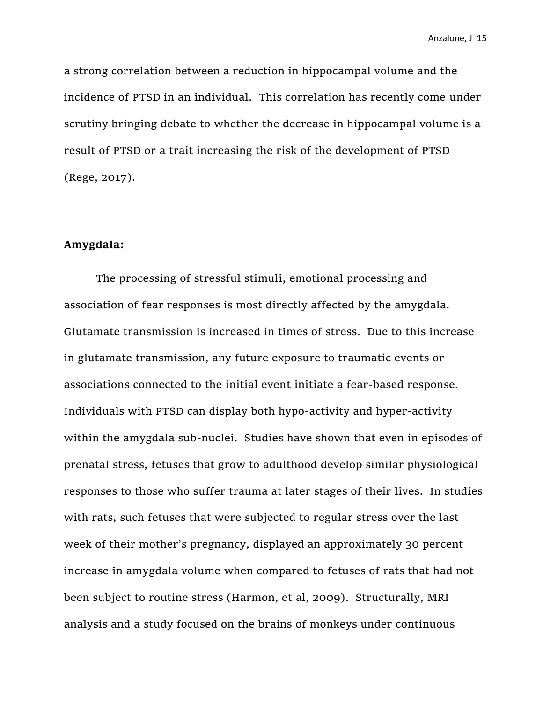a strong correlation between a reduction in hippocampal volume and the incidence of PTSD in an individual. This correlation has recently come under scrutiny bringing debate to whether the decrease in hippocampal volume is a result of PTSD or a trait increasing the risk of the development of PTSD (Rege, 2017).

#### **Amygdala:**

The processing of stressful stimuli, emotional processing and association of fear responses is most directly affected by the amygdala. Glutamate transmission is increased in times of stress. Due to this increase in glutamate transmission, any future exposure to traumatic events or associations connected to the initial event initiate a fear-based response. Individuals with PTSD can display both hypo-activity and hyper-activity within the amygdala sub-nuclei. Studies have shown that even in episodes of prenatal stress, fetuses that grow to adulthood develop similar physiological responses to those who suffer trauma at later stages of their lives. In studies with rats, such fetuses that were subjected to regular stress over the last week of their mother's pregnancy, displayed an approximately 30 percent increase in amygdala volume when compared to fetuses of rats that had not been subject to routine stress (Harmon, et al, 2009). Structurally, MRI analysis and a study focused on the brains of monkeys under continuous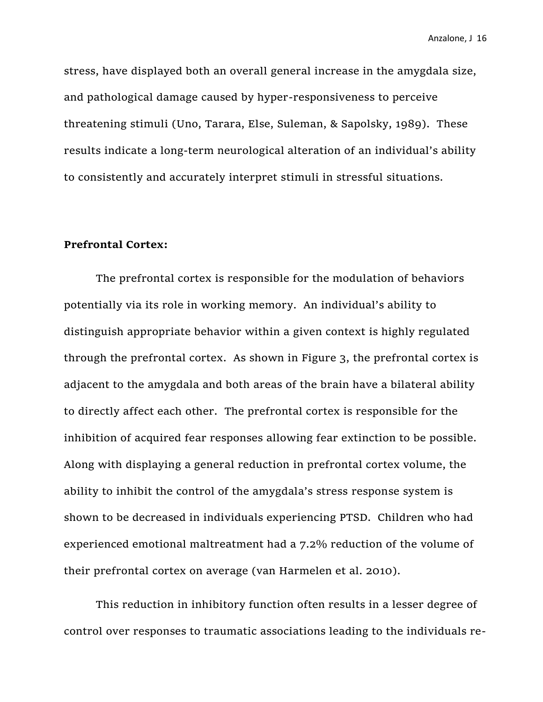stress, have displayed both an overall general increase in the amygdala size, and pathological damage caused by hyper-responsiveness to perceive threatening stimuli (Uno, Tarara, Else, Suleman, & Sapolsky, 1989). These results indicate a long-term neurological alteration of an individual's ability to consistently and accurately interpret stimuli in stressful situations.

#### **Prefrontal Cortex:**

The prefrontal cortex is responsible for the modulation of behaviors potentially via its role in working memory. An individual's ability to distinguish appropriate behavior within a given context is highly regulated through the prefrontal cortex. As shown in Figure 3, the prefrontal cortex is adjacent to the amygdala and both areas of the brain have a bilateral ability to directly affect each other. The prefrontal cortex is responsible for the inhibition of acquired fear responses allowing fear extinction to be possible. Along with displaying a general reduction in prefrontal cortex volume, the ability to inhibit the control of the amygdala's stress response system is shown to be decreased in individuals experiencing PTSD. Children who had experienced emotional maltreatment had a 7.2% reduction of the volume of their prefrontal cortex on average (van Harmelen et al. 2010).

This reduction in inhibitory function often results in a lesser degree of control over responses to traumatic associations leading to the individuals re-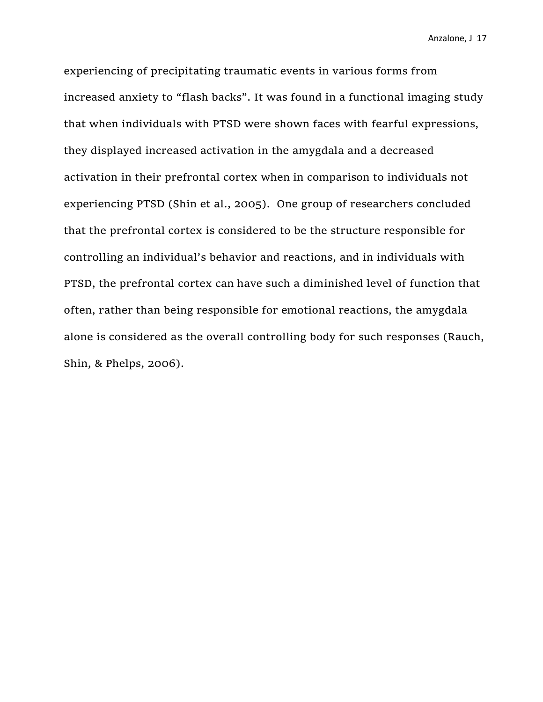experiencing of precipitating traumatic events in various forms from increased anxiety to "flash backs". It was found in a functional imaging study that when individuals with PTSD were shown faces with fearful expressions, they displayed increased activation in the amygdala and a decreased activation in their prefrontal cortex when in comparison to individuals not experiencing PTSD (Shin et al., 2005). One group of researchers concluded that the prefrontal cortex is considered to be the structure responsible for controlling an individual's behavior and reactions, and in individuals with PTSD, the prefrontal cortex can have such a diminished level of function that often, rather than being responsible for emotional reactions, the amygdala alone is considered as the overall controlling body for such responses (Rauch, Shin, & Phelps, 2006).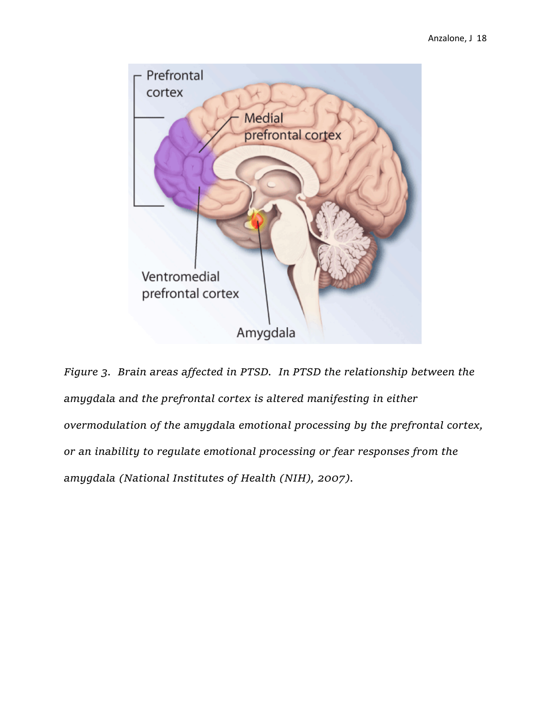

*Figure 3. Brain areas affected in PTSD. In PTSD the relationship between the amygdala and the prefrontal cortex is altered manifesting in either overmodulation of the amygdala emotional processing by the prefrontal cortex, or an inability to regulate emotional processing or fear responses from the amygdala (National Institutes of Health (NIH), 2007).*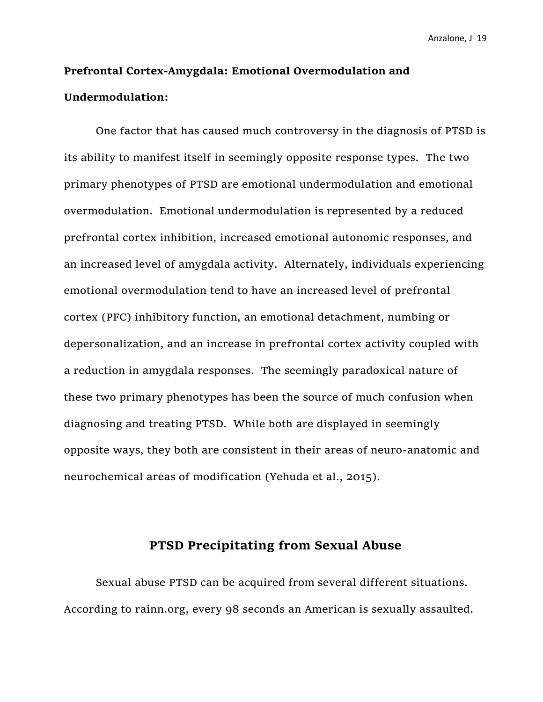# **Prefrontal Cortex-Amygdala: Emotional Overmodulation and Undermodulation:**

One factor that has caused much controversy in the diagnosis of PTSD is its ability to manifest itself in seemingly opposite response types. The two primary phenotypes of PTSD are emotional undermodulation and emotional overmodulation. Emotional undermodulation is represented by a reduced prefrontal cortex inhibition, increased emotional autonomic responses, and an increased level of amygdala activity. Alternately, individuals experiencing emotional overmodulation tend to have an increased level of prefrontal cortex (PFC) inhibitory function, an emotional detachment, numbing or depersonalization, and an increase in prefrontal cortex activity coupled with a reduction in amygdala responses. The seemingly paradoxical nature of these two primary phenotypes has been the source of much confusion when diagnosing and treating PTSD. While both are displayed in seemingly opposite ways, they both are consistent in their areas of neuro-anatomic and neurochemical areas of modification (Yehuda et al., 2015).

# **PTSD Precipitating from Sexual Abuse**

Sexual abuse PTSD can be acquired from several different situations. According to rainn.org, every 98 seconds an American is sexually assaulted.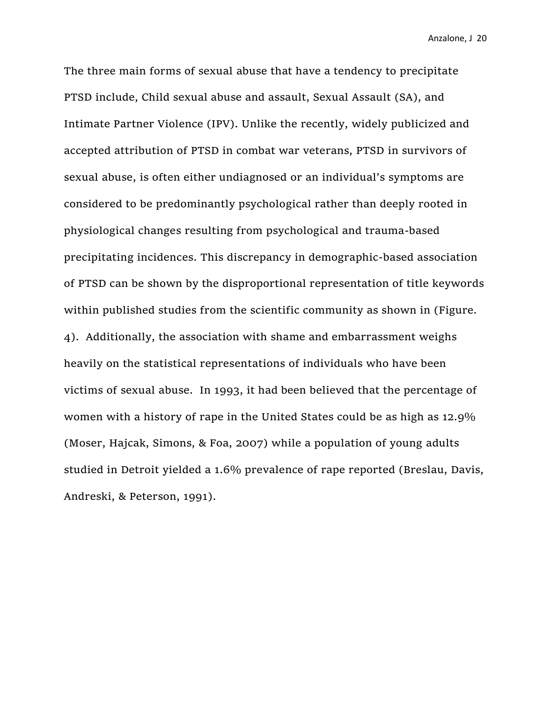The three main forms of sexual abuse that have a tendency to precipitate PTSD include, Child sexual abuse and assault, Sexual Assault (SA), and Intimate Partner Violence (IPV). Unlike the recently, widely publicized and accepted attribution of PTSD in combat war veterans, PTSD in survivors of sexual abuse, is often either undiagnosed or an individual's symptoms are considered to be predominantly psychological rather than deeply rooted in physiological changes resulting from psychological and trauma-based precipitating incidences. This discrepancy in demographic-based association of PTSD can be shown by the disproportional representation of title keywords within published studies from the scientific community as shown in (Figure. 4). Additionally, the association with shame and embarrassment weighs heavily on the statistical representations of individuals who have been victims of sexual abuse. In 1993, it had been believed that the percentage of women with a history of rape in the United States could be as high as 12.9% (Moser, Hajcak, Simons, & Foa, 2007) while a population of young adults studied in Detroit yielded a 1.6% prevalence of rape reported (Breslau, Davis, Andreski, & Peterson, 1991).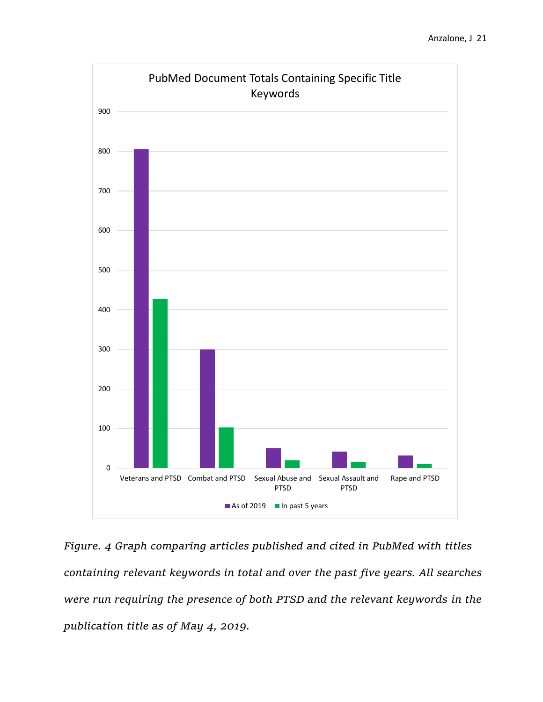

*Figure. 4 Graph comparing articles published and cited in PubMed with titles containing relevant keywords in total and over the past five years. All searches were run requiring the presence of both PTSD and the relevant keywords in the publication title as of May 4, 2019.*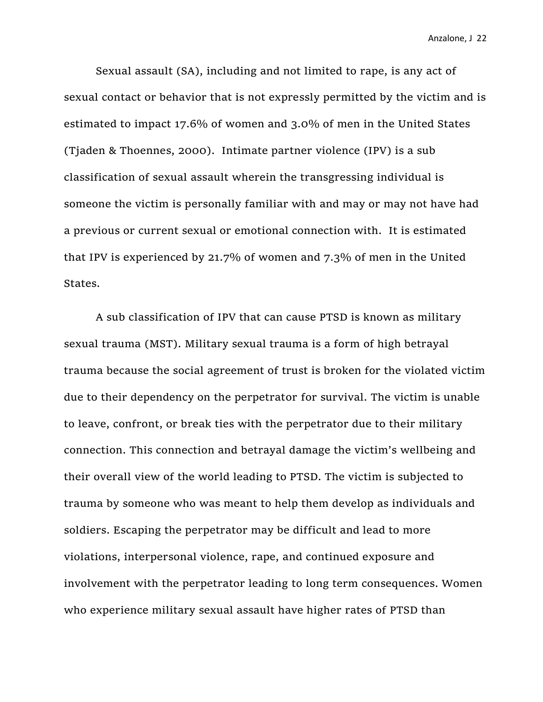Sexual assault (SA), including and not limited to rape, is any act of sexual contact or behavior that is not expressly permitted by the victim and is estimated to impact 17.6% of women and 3.0% of men in the United States (Tjaden & Thoennes, 2000). Intimate partner violence (IPV) is a sub classification of sexual assault wherein the transgressing individual is someone the victim is personally familiar with and may or may not have had a previous or current sexual or emotional connection with. It is estimated that IPV is experienced by 21.7% of women and 7.3% of men in the United States.

A sub classification of IPV that can cause PTSD is known as military sexual trauma (MST). Military sexual trauma is a form of high betrayal trauma because the social agreement of trust is broken for the violated victim due to their dependency on the perpetrator for survival. The victim is unable to leave, confront, or break ties with the perpetrator due to their military connection. This connection and betrayal damage the victim's wellbeing and their overall view of the world leading to PTSD. The victim is subjected to trauma by someone who was meant to help them develop as individuals and soldiers. Escaping the perpetrator may be difficult and lead to more violations, interpersonal violence, rape, and continued exposure and involvement with the perpetrator leading to long term consequences. Women who experience military sexual assault have higher rates of PTSD than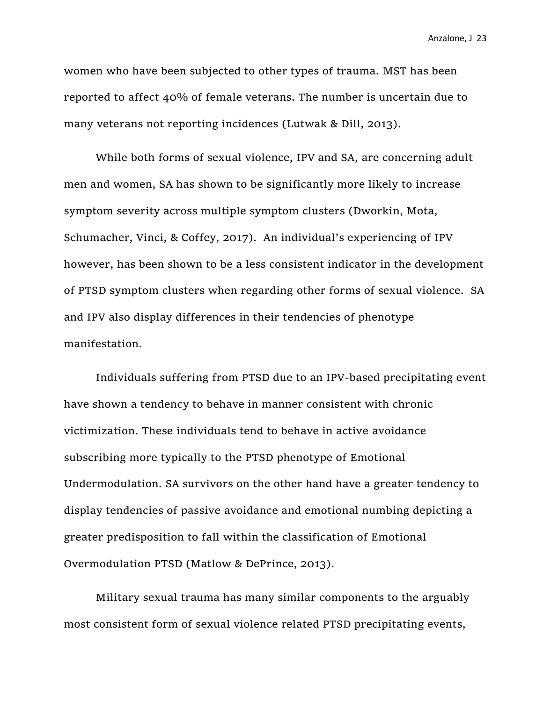women who have been subjected to other types of trauma. MST has been reported to affect 40% of female veterans. The number is uncertain due to many veterans not reporting incidences (Lutwak & Dill, 2013).

While both forms of sexual violence, IPV and SA, are concerning adult men and women, SA has shown to be significantly more likely to increase symptom severity across multiple symptom clusters (Dworkin, Mota, Schumacher, Vinci, & Coffey, 2017). An individual's experiencing of IPV however, has been shown to be a less consistent indicator in the development of PTSD symptom clusters when regarding other forms of sexual violence. SA and IPV also display differences in their tendencies of phenotype manifestation.

Individuals suffering from PTSD due to an IPV-based precipitating event have shown a tendency to behave in manner consistent with chronic victimization. These individuals tend to behave in active avoidance subscribing more typically to the PTSD phenotype of Emotional Undermodulation. SA survivors on the other hand have a greater tendency to display tendencies of passive avoidance and emotional numbing depicting a greater predisposition to fall within the classification of Emotional Overmodulation PTSD (Matlow & DePrince, 2013).

Military sexual trauma has many similar components to the arguably most consistent form of sexual violence related PTSD precipitating events,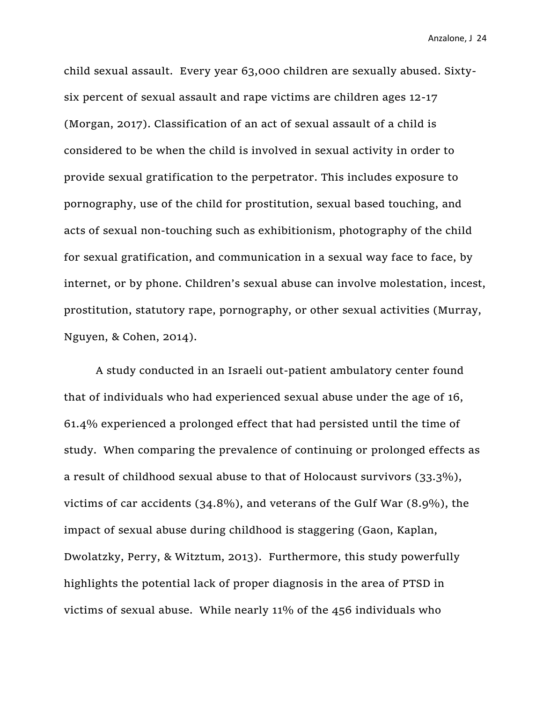child sexual assault. Every year 63,000 children are sexually abused. Sixtysix percent of sexual assault and rape victims are children ages 12-17 (Morgan, 2017). Classification of an act of sexual assault of a child is considered to be when the child is involved in sexual activity in order to provide sexual gratification to the perpetrator. This includes exposure to pornography, use of the child for prostitution, sexual based touching, and acts of sexual non-touching such as exhibitionism, photography of the child for sexual gratification, and communication in a sexual way face to face, by internet, or by phone. Children's sexual abuse can involve molestation, incest, prostitution, statutory rape, pornography, or other sexual activities (Murray, Nguyen, & Cohen, 2014).

A study conducted in an Israeli out-patient ambulatory center found that of individuals who had experienced sexual abuse under the age of 16, 61.4% experienced a prolonged effect that had persisted until the time of study. When comparing the prevalence of continuing or prolonged effects as a result of childhood sexual abuse to that of Holocaust survivors (33.3%), victims of car accidents (34.8%), and veterans of the Gulf War (8.9%), the impact of sexual abuse during childhood is staggering (Gaon, Kaplan, Dwolatzky, Perry, & Witztum, 2013). Furthermore, this study powerfully highlights the potential lack of proper diagnosis in the area of PTSD in victims of sexual abuse. While nearly 11% of the 456 individuals who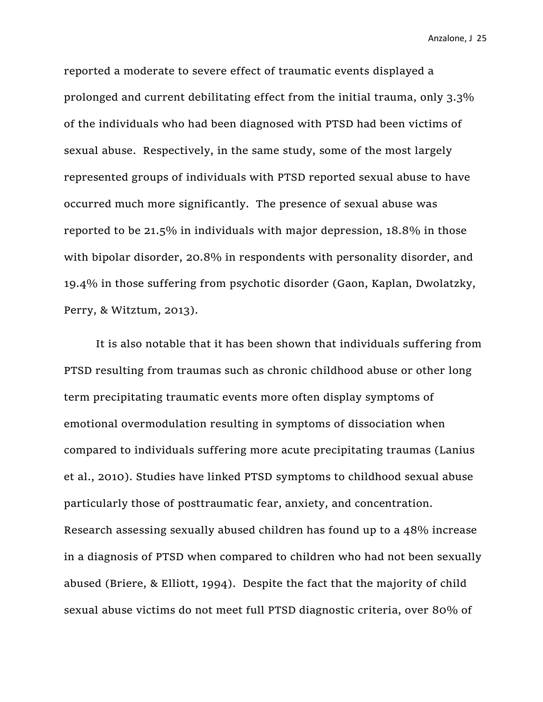reported a moderate to severe effect of traumatic events displayed a prolonged and current debilitating effect from the initial trauma, only 3.3% of the individuals who had been diagnosed with PTSD had been victims of sexual abuse. Respectively, in the same study, some of the most largely represented groups of individuals with PTSD reported sexual abuse to have occurred much more significantly. The presence of sexual abuse was reported to be 21.5% in individuals with major depression, 18.8% in those with bipolar disorder, 20.8% in respondents with personality disorder, and 19.4% in those suffering from psychotic disorder (Gaon, Kaplan, Dwolatzky, Perry, & Witztum, 2013).

It is also notable that it has been shown that individuals suffering from PTSD resulting from traumas such as chronic childhood abuse or other long term precipitating traumatic events more often display symptoms of emotional overmodulation resulting in symptoms of dissociation when compared to individuals suffering more acute precipitating traumas (Lanius et al., 2010). Studies have linked PTSD symptoms to childhood sexual abuse particularly those of posttraumatic fear, anxiety, and concentration. Research assessing sexually abused children has found up to a 48% increase in a diagnosis of PTSD when compared to children who had not been sexually abused (Briere, & Elliott, 1994). Despite the fact that the majority of child sexual abuse victims do not meet full PTSD diagnostic criteria, over 80% of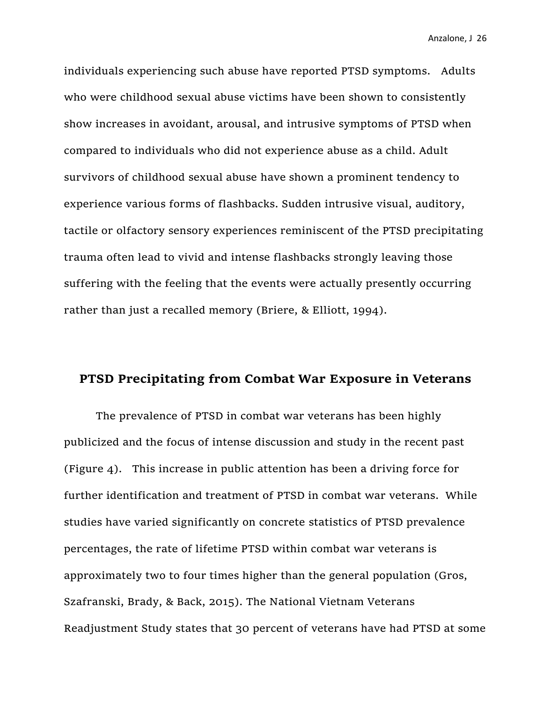individuals experiencing such abuse have reported PTSD symptoms. Adults who were childhood sexual abuse victims have been shown to consistently show increases in avoidant, arousal, and intrusive symptoms of PTSD when compared to individuals who did not experience abuse as a child. Adult survivors of childhood sexual abuse have shown a prominent tendency to experience various forms of flashbacks. Sudden intrusive visual, auditory, tactile or olfactory sensory experiences reminiscent of the PTSD precipitating trauma often lead to vivid and intense flashbacks strongly leaving those suffering with the feeling that the events were actually presently occurring rather than just a recalled memory (Briere, & Elliott, 1994).

# **PTSD Precipitating from Combat War Exposure in Veterans**

The prevalence of PTSD in combat war veterans has been highly publicized and the focus of intense discussion and study in the recent past (Figure 4). This increase in public attention has been a driving force for further identification and treatment of PTSD in combat war veterans. While studies have varied significantly on concrete statistics of PTSD prevalence percentages, the rate of lifetime PTSD within combat war veterans is approximately two to four times higher than the general population (Gros, Szafranski, Brady, & Back, 2015). The National Vietnam Veterans Readjustment Study states that 30 percent of veterans have had PTSD at some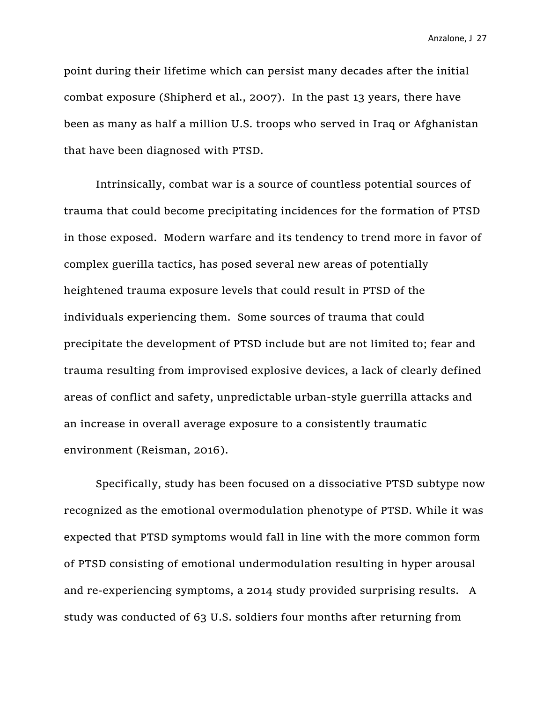point during their lifetime which can persist many decades after the initial combat exposure (Shipherd et al., 2007). In the past 13 years, there have been as many as half a million U.S. troops who served in Iraq or Afghanistan that have been diagnosed with PTSD.

Intrinsically, combat war is a source of countless potential sources of trauma that could become precipitating incidences for the formation of PTSD in those exposed. Modern warfare and its tendency to trend more in favor of complex guerilla tactics, has posed several new areas of potentially heightened trauma exposure levels that could result in PTSD of the individuals experiencing them. Some sources of trauma that could precipitate the development of PTSD include but are not limited to; fear and trauma resulting from improvised explosive devices, a lack of clearly defined areas of conflict and safety, unpredictable urban-style guerrilla attacks and an increase in overall average exposure to a consistently traumatic environment (Reisman, 2016).

Specifically, study has been focused on a dissociative PTSD subtype now recognized as the emotional overmodulation phenotype of PTSD. While it was expected that PTSD symptoms would fall in line with the more common form of PTSD consisting of emotional undermodulation resulting in hyper arousal and re-experiencing symptoms, a 2014 study provided surprising results. A study was conducted of 63 U.S. soldiers four months after returning from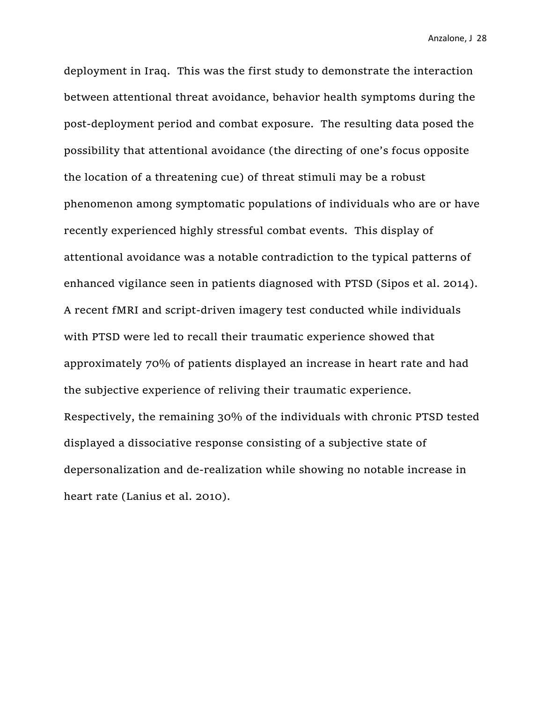deployment in Iraq. This was the first study to demonstrate the interaction between attentional threat avoidance, behavior health symptoms during the post-deployment period and combat exposure. The resulting data posed the possibility that attentional avoidance (the directing of one's focus opposite the location of a threatening cue) of threat stimuli may be a robust phenomenon among symptomatic populations of individuals who are or have recently experienced highly stressful combat events. This display of attentional avoidance was a notable contradiction to the typical patterns of enhanced vigilance seen in patients diagnosed with PTSD (Sipos et al. 2014). A recent fMRI and script-driven imagery test conducted while individuals with PTSD were led to recall their traumatic experience showed that approximately 70% of patients displayed an increase in heart rate and had the subjective experience of reliving their traumatic experience. Respectively, the remaining 30% of the individuals with chronic PTSD tested displayed a dissociative response consisting of a subjective state of depersonalization and de-realization while showing no notable increase in heart rate (Lanius et al. 2010).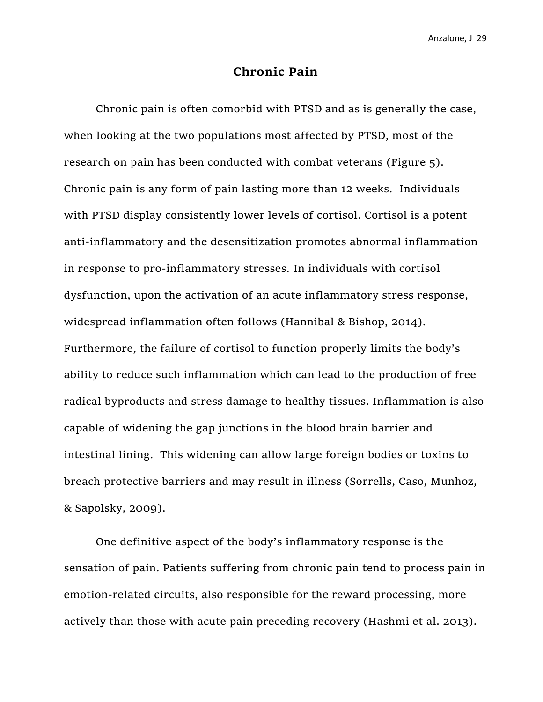### **Chronic Pain**

Chronic pain is often comorbid with PTSD and as is generally the case, when looking at the two populations most affected by PTSD, most of the research on pain has been conducted with combat veterans (Figure 5). Chronic pain is any form of pain lasting more than 12 weeks. Individuals with PTSD display consistently lower levels of cortisol. Cortisol is a potent anti-inflammatory and the desensitization promotes abnormal inflammation in response to pro-inflammatory stresses. In individuals with cortisol dysfunction, upon the activation of an acute inflammatory stress response, widespread inflammation often follows (Hannibal & Bishop, 2014). Furthermore, the failure of cortisol to function properly limits the body's ability to reduce such inflammation which can lead to the production of free radical byproducts and stress damage to healthy tissues. Inflammation is also capable of widening the gap junctions in the blood brain barrier and intestinal lining. This widening can allow large foreign bodies or toxins to breach protective barriers and may result in illness (Sorrells, Caso, Munhoz, & Sapolsky, 2009).

One definitive aspect of the body's inflammatory response is the sensation of pain. Patients suffering from chronic pain tend to process pain in emotion-related circuits, also responsible for the reward processing, more actively than those with acute pain preceding recovery (Hashmi et al. 2013).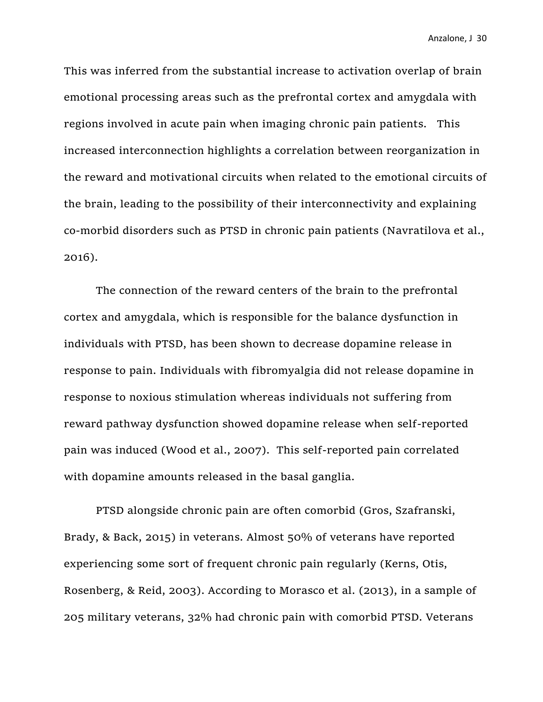This was inferred from the substantial increase to activation overlap of brain emotional processing areas such as the prefrontal cortex and amygdala with regions involved in acute pain when imaging chronic pain patients. This increased interconnection highlights a correlation between reorganization in the reward and motivational circuits when related to the emotional circuits of the brain, leading to the possibility of their interconnectivity and explaining co-morbid disorders such as PTSD in chronic pain patients (Navratilova et al., 2016).

The connection of the reward centers of the brain to the prefrontal cortex and amygdala, which is responsible for the balance dysfunction in individuals with PTSD, has been shown to decrease dopamine release in response to pain. Individuals with fibromyalgia did not release dopamine in response to noxious stimulation whereas individuals not suffering from reward pathway dysfunction showed dopamine release when self-reported pain was induced (Wood et al., 2007). This self-reported pain correlated with dopamine amounts released in the basal ganglia.

PTSD alongside chronic pain are often comorbid (Gros, Szafranski, Brady, & Back, 2015) in veterans. Almost 50% of veterans have reported experiencing some sort of frequent chronic pain regularly (Kerns, Otis, Rosenberg, & Reid, 2003). According to Morasco et al. (2013), in a sample of 205 military veterans, 32% had chronic pain with comorbid PTSD. Veterans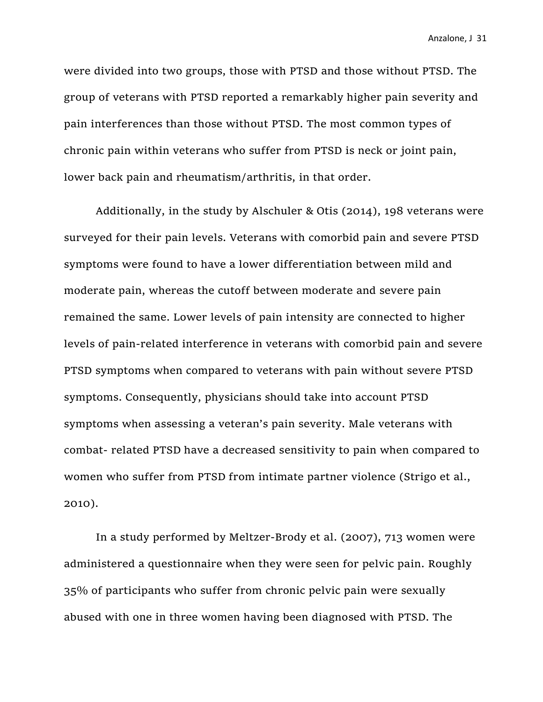were divided into two groups, those with PTSD and those without PTSD. The group of veterans with PTSD reported a remarkably higher pain severity and pain interferences than those without PTSD. The most common types of chronic pain within veterans who suffer from PTSD is neck or joint pain, lower back pain and rheumatism/arthritis, in that order.

Additionally, in the study by Alschuler & Otis (2014), 198 veterans were surveyed for their pain levels. Veterans with comorbid pain and severe PTSD symptoms were found to have a lower differentiation between mild and moderate pain, whereas the cutoff between moderate and severe pain remained the same. Lower levels of pain intensity are connected to higher levels of pain-related interference in veterans with comorbid pain and severe PTSD symptoms when compared to veterans with pain without severe PTSD symptoms. Consequently, physicians should take into account PTSD symptoms when assessing a veteran's pain severity. Male veterans with combat- related PTSD have a decreased sensitivity to pain when compared to women who suffer from PTSD from intimate partner violence (Strigo et al., 2010).

In a study performed by Meltzer-Brody et al. (2007), 713 women were administered a questionnaire when they were seen for pelvic pain. Roughly 35% of participants who suffer from chronic pelvic pain were sexually abused with one in three women having been diagnosed with PTSD. The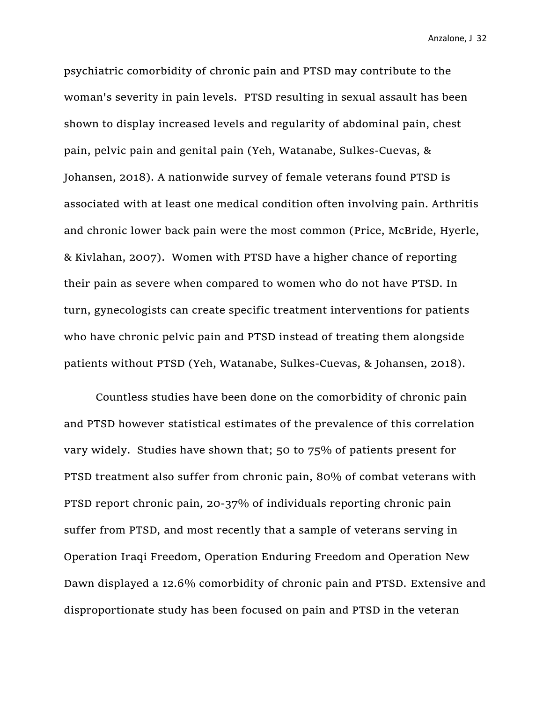psychiatric comorbidity of chronic pain and PTSD may contribute to the woman's severity in pain levels. PTSD resulting in sexual assault has been shown to display increased levels and regularity of abdominal pain, chest pain, pelvic pain and genital pain (Yeh, Watanabe, Sulkes-Cuevas, & Johansen, 2018). A nationwide survey of female veterans found PTSD is associated with at least one medical condition often involving pain. Arthritis and chronic lower back pain were the most common (Price, McBride, Hyerle, & Kivlahan, 2007). Women with PTSD have a higher chance of reporting their pain as severe when compared to women who do not have PTSD. In turn, gynecologists can create specific treatment interventions for patients who have chronic pelvic pain and PTSD instead of treating them alongside patients without PTSD (Yeh, Watanabe, Sulkes-Cuevas, & Johansen, 2018).

Countless studies have been done on the comorbidity of chronic pain and PTSD however statistical estimates of the prevalence of this correlation vary widely. Studies have shown that; 50 to 75% of patients present for PTSD treatment also suffer from chronic pain, 80% of combat veterans with PTSD report chronic pain, 20-37% of individuals reporting chronic pain suffer from PTSD, and most recently that a sample of veterans serving in Operation Iraqi Freedom, Operation Enduring Freedom and Operation New Dawn displayed a 12.6% comorbidity of chronic pain and PTSD. Extensive and disproportionate study has been focused on pain and PTSD in the veteran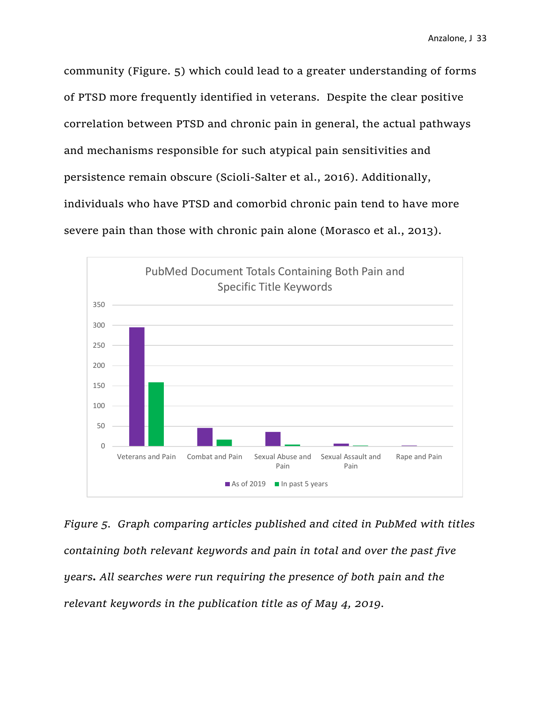community (Figure. 5) which could lead to a greater understanding of forms of PTSD more frequently identified in veterans. Despite the clear positive correlation between PTSD and chronic pain in general, the actual pathways and mechanisms responsible for such atypical pain sensitivities and persistence remain obscure (Scioli-Salter et al., 2016). Additionally, individuals who have PTSD and comorbid chronic pain tend to have more severe pain than those with chronic pain alone (Morasco et al., 2013).



*Figure 5. Graph comparing articles published and cited in PubMed with titles containing both relevant keywords and pain in total and over the past five years. All searches were run requiring the presence of both pain and the relevant keywords in the publication title as of May 4, 2019.*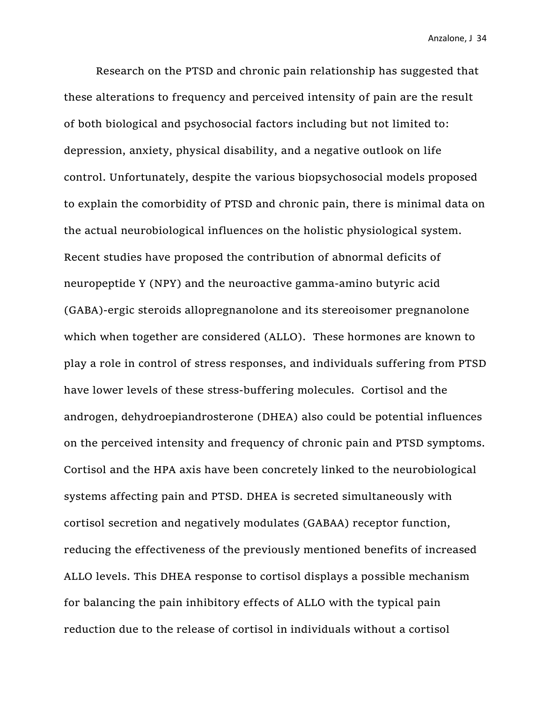Research on the PTSD and chronic pain relationship has suggested that these alterations to frequency and perceived intensity of pain are the result of both biological and psychosocial factors including but not limited to: depression, anxiety, physical disability, and a negative outlook on life control. Unfortunately, despite the various biopsychosocial models proposed to explain the comorbidity of PTSD and chronic pain, there is minimal data on the actual neurobiological influences on the holistic physiological system. Recent studies have proposed the contribution of abnormal deficits of neuropeptide Y (NPY) and the neuroactive gamma-amino butyric acid (GABA)-ergic steroids allopregnanolone and its stereoisomer pregnanolone which when together are considered (ALLO). These hormones are known to play a role in control of stress responses, and individuals suffering from PTSD have lower levels of these stress-buffering molecules. Cortisol and the androgen, dehydroepiandrosterone (DHEA) also could be potential influences on the perceived intensity and frequency of chronic pain and PTSD symptoms. Cortisol and the HPA axis have been concretely linked to the neurobiological systems affecting pain and PTSD. DHEA is secreted simultaneously with cortisol secretion and negatively modulates (GABAA) receptor function, reducing the effectiveness of the previously mentioned benefits of increased ALLO levels. This DHEA response to cortisol displays a possible mechanism for balancing the pain inhibitory effects of ALLO with the typical pain reduction due to the release of cortisol in individuals without a cortisol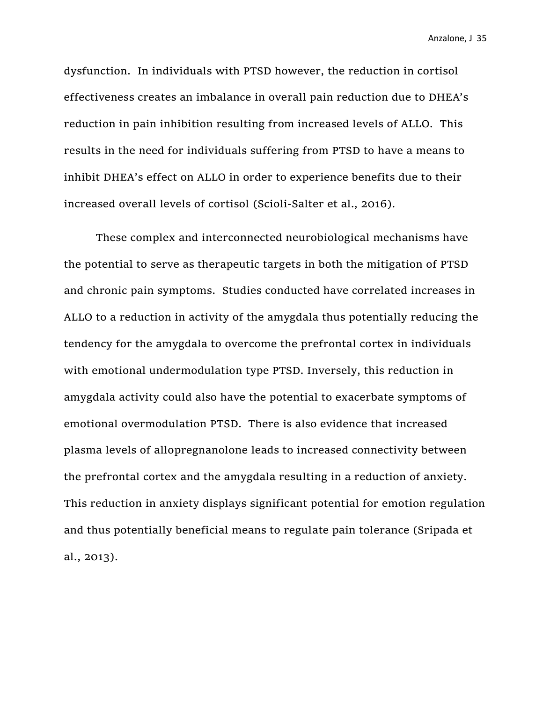dysfunction. In individuals with PTSD however, the reduction in cortisol effectiveness creates an imbalance in overall pain reduction due to DHEA's reduction in pain inhibition resulting from increased levels of ALLO. This results in the need for individuals suffering from PTSD to have a means to inhibit DHEA's effect on ALLO in order to experience benefits due to their increased overall levels of cortisol (Scioli-Salter et al., 2016).

These complex and interconnected neurobiological mechanisms have the potential to serve as therapeutic targets in both the mitigation of PTSD and chronic pain symptoms. Studies conducted have correlated increases in ALLO to a reduction in activity of the amygdala thus potentially reducing the tendency for the amygdala to overcome the prefrontal cortex in individuals with emotional undermodulation type PTSD. Inversely, this reduction in amygdala activity could also have the potential to exacerbate symptoms of emotional overmodulation PTSD. There is also evidence that increased plasma levels of allopregnanolone leads to increased connectivity between the prefrontal cortex and the amygdala resulting in a reduction of anxiety. This reduction in anxiety displays significant potential for emotion regulation and thus potentially beneficial means to regulate pain tolerance (Sripada et al., 2013).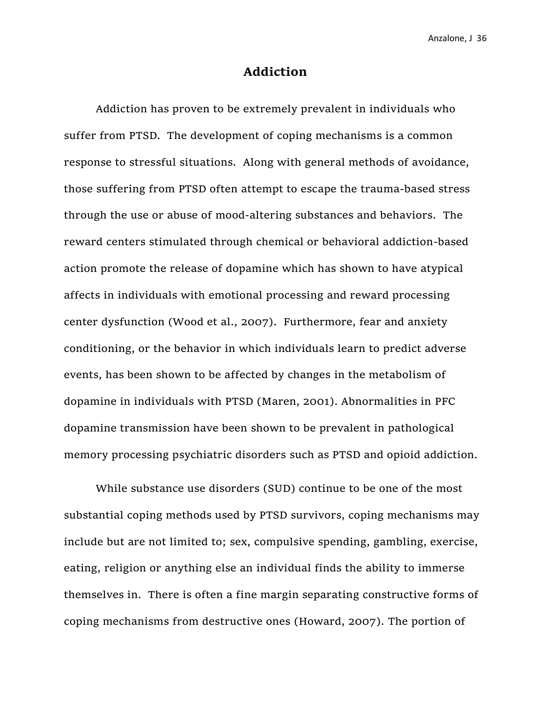#### **Addiction**

Addiction has proven to be extremely prevalent in individuals who suffer from PTSD. The development of coping mechanisms is a common response to stressful situations. Along with general methods of avoidance, those suffering from PTSD often attempt to escape the trauma-based stress through the use or abuse of mood-altering substances and behaviors. The reward centers stimulated through chemical or behavioral addiction-based action promote the release of dopamine which has shown to have atypical affects in individuals with emotional processing and reward processing center dysfunction (Wood et al., 2007). Furthermore, fear and anxiety conditioning, or the behavior in which individuals learn to predict adverse events, has been shown to be affected by changes in the metabolism of dopamine in individuals with PTSD (Maren, 2001). Abnormalities in PFC dopamine transmission have been shown to be prevalent in pathological memory processing psychiatric disorders such as PTSD and opioid addiction.

While substance use disorders (SUD) continue to be one of the most substantial coping methods used by PTSD survivors, coping mechanisms may include but are not limited to; sex, compulsive spending, gambling, exercise, eating, religion or anything else an individual finds the ability to immerse themselves in. There is often a fine margin separating constructive forms of coping mechanisms from destructive ones (Howard, 2007). The portion of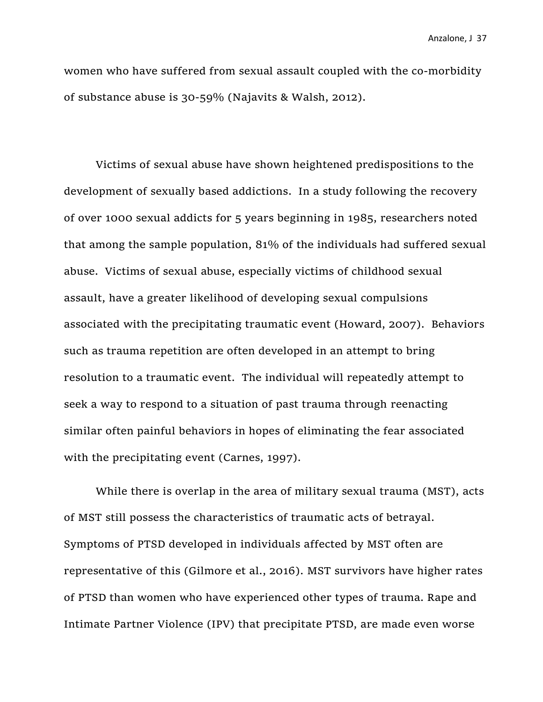women who have suffered from sexual assault coupled with the co-morbidity of substance abuse is 30-59% (Najavits & Walsh, 2012).

Victims of sexual abuse have shown heightened predispositions to the development of sexually based addictions. In a study following the recovery of over 1000 sexual addicts for 5 years beginning in 1985, researchers noted that among the sample population, 81% of the individuals had suffered sexual abuse. Victims of sexual abuse, especially victims of childhood sexual assault, have a greater likelihood of developing sexual compulsions associated with the precipitating traumatic event (Howard, 2007). Behaviors such as trauma repetition are often developed in an attempt to bring resolution to a traumatic event. The individual will repeatedly attempt to seek a way to respond to a situation of past trauma through reenacting similar often painful behaviors in hopes of eliminating the fear associated with the precipitating event (Carnes, 1997).

While there is overlap in the area of military sexual trauma (MST), acts of MST still possess the characteristics of traumatic acts of betrayal. Symptoms of PTSD developed in individuals affected by MST often are representative of this (Gilmore et al., 2016). MST survivors have higher rates of PTSD than women who have experienced other types of trauma. Rape and Intimate Partner Violence (IPV) that precipitate PTSD, are made even worse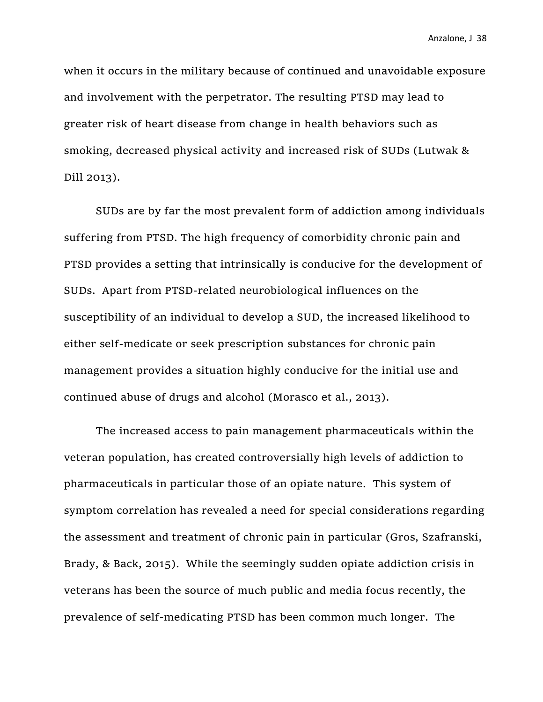when it occurs in the military because of continued and unavoidable exposure and involvement with the perpetrator. The resulting PTSD may lead to greater risk of heart disease from change in health behaviors such as smoking, decreased physical activity and increased risk of SUDs (Lutwak & Dill 2013).

SUDs are by far the most prevalent form of addiction among individuals suffering from PTSD. The high frequency of comorbidity chronic pain and PTSD provides a setting that intrinsically is conducive for the development of SUDs. Apart from PTSD-related neurobiological influences on the susceptibility of an individual to develop a SUD, the increased likelihood to either self-medicate or seek prescription substances for chronic pain management provides a situation highly conducive for the initial use and continued abuse of drugs and alcohol (Morasco et al., 2013).

The increased access to pain management pharmaceuticals within the veteran population, has created controversially high levels of addiction to pharmaceuticals in particular those of an opiate nature. This system of symptom correlation has revealed a need for special considerations regarding the assessment and treatment of chronic pain in particular (Gros, Szafranski, Brady, & Back, 2015). While the seemingly sudden opiate addiction crisis in veterans has been the source of much public and media focus recently, the prevalence of self-medicating PTSD has been common much longer. The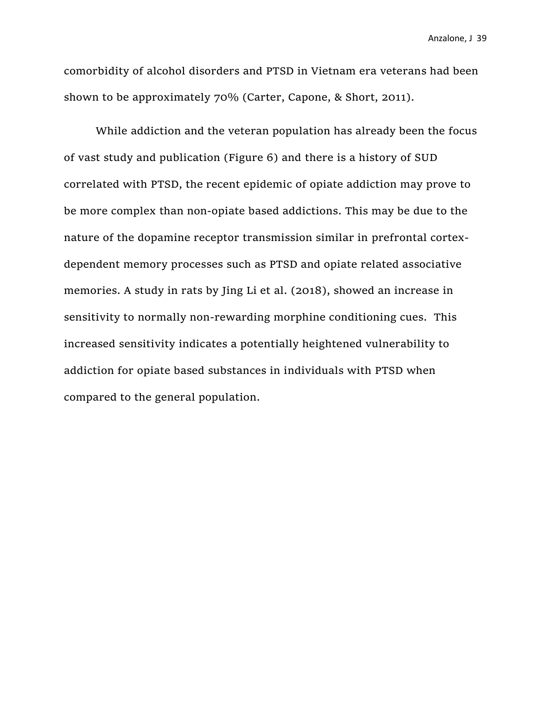comorbidity of alcohol disorders and PTSD in Vietnam era veterans had been shown to be approximately 70% (Carter, Capone, & Short, 2011).

While addiction and the veteran population has already been the focus of vast study and publication (Figure 6) and there is a history of SUD correlated with PTSD, the recent epidemic of opiate addiction may prove to be more complex than non-opiate based addictions. This may be due to the nature of the dopamine receptor transmission similar in prefrontal cortexdependent memory processes such as PTSD and opiate related associative memories. A study in rats by Jing Li et al. (2018), showed an increase in sensitivity to normally non-rewarding morphine conditioning cues. This increased sensitivity indicates a potentially heightened vulnerability to addiction for opiate based substances in individuals with PTSD when compared to the general population.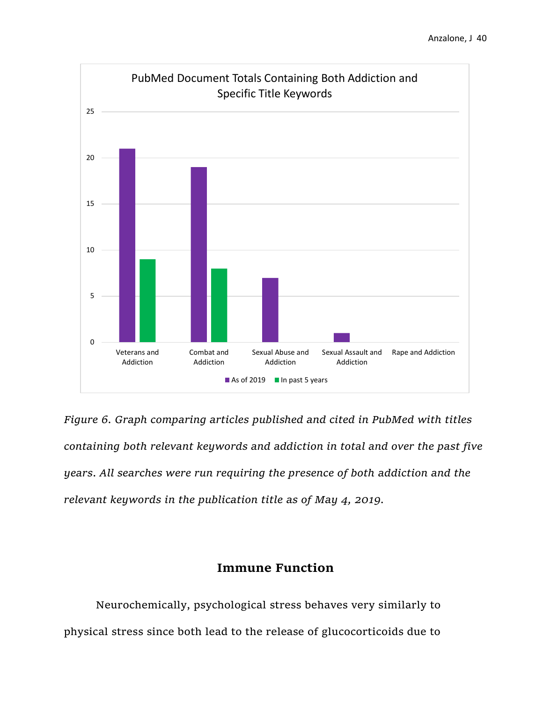

*Figure 6. Graph comparing articles published and cited in PubMed with titles containing both relevant keywords and addiction in total and over the past five years*. *All searches were run requiring the presence of both addiction and the relevant keywords in the publication title as of May 4, 2019.*

# **Immune Function**

Neurochemically, psychological stress behaves very similarly to physical stress since both lead to the release of glucocorticoids due to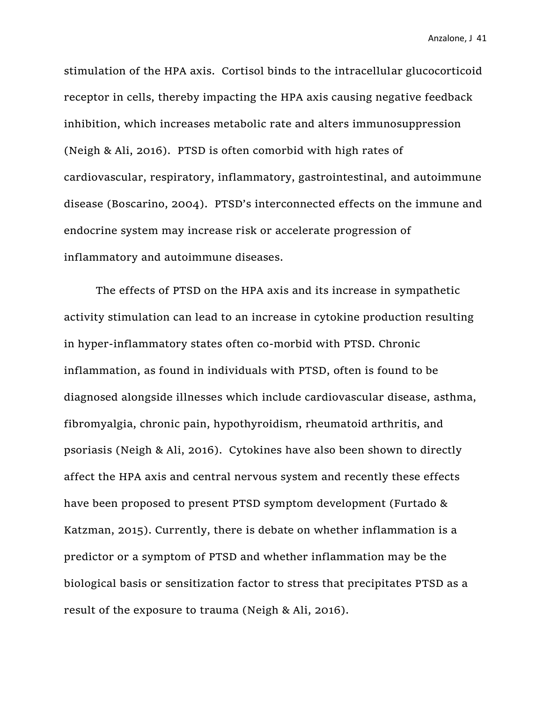stimulation of the HPA axis. Cortisol binds to the intracellular glucocorticoid receptor in cells, thereby impacting the HPA axis causing negative feedback inhibition, which increases metabolic rate and alters immunosuppression (Neigh & Ali, 2016). PTSD is often comorbid with high rates of cardiovascular, respiratory, inflammatory, gastrointestinal, and autoimmune disease (Boscarino, 2004). PTSD's interconnected effects on the immune and endocrine system may increase risk or accelerate progression of inflammatory and autoimmune diseases.

The effects of PTSD on the HPA axis and its increase in sympathetic activity stimulation can lead to an increase in cytokine production resulting in hyper-inflammatory states often co-morbid with PTSD. Chronic inflammation, as found in individuals with PTSD, often is found to be diagnosed alongside illnesses which include cardiovascular disease, asthma, fibromyalgia, chronic pain, hypothyroidism, rheumatoid arthritis, and psoriasis (Neigh & Ali, 2016). Cytokines have also been shown to directly affect the HPA axis and central nervous system and recently these effects have been proposed to present PTSD symptom development (Furtado & Katzman, 2015). Currently, there is debate on whether inflammation is a predictor or a symptom of PTSD and whether inflammation may be the biological basis or sensitization factor to stress that precipitates PTSD as a result of the exposure to trauma (Neigh & Ali, 2016).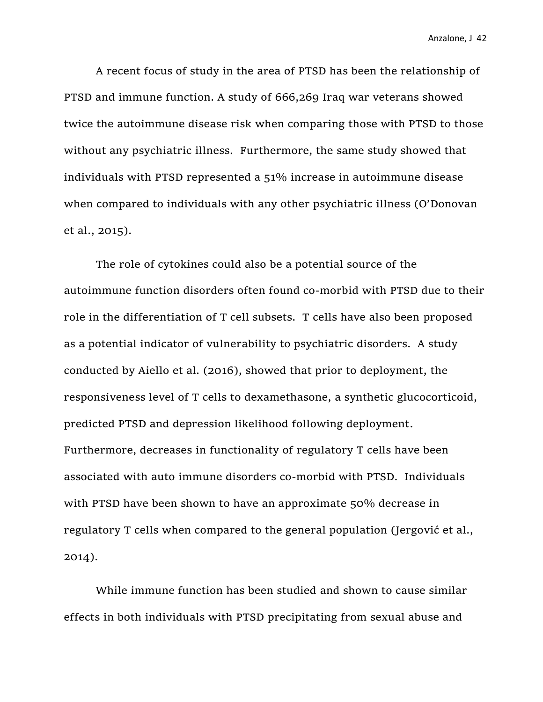A recent focus of study in the area of PTSD has been the relationship of PTSD and immune function. A study of 666,269 Iraq war veterans showed twice the autoimmune disease risk when comparing those with PTSD to those without any psychiatric illness. Furthermore, the same study showed that individuals with PTSD represented a 51% increase in autoimmune disease when compared to individuals with any other psychiatric illness (O'Donovan et al., 2015).

The role of cytokines could also be a potential source of the autoimmune function disorders often found co-morbid with PTSD due to their role in the differentiation of T cell subsets. T cells have also been proposed as a potential indicator of vulnerability to psychiatric disorders. A study conducted by Aiello et al. (2016), showed that prior to deployment, the responsiveness level of T cells to dexamethasone, a synthetic glucocorticoid, predicted PTSD and depression likelihood following deployment. Furthermore, decreases in functionality of regulatory T cells have been associated with auto immune disorders co-morbid with PTSD. Individuals with PTSD have been shown to have an approximate 50% decrease in regulatory T cells when compared to the general population (Jergović et al., 2014).

While immune function has been studied and shown to cause similar effects in both individuals with PTSD precipitating from sexual abuse and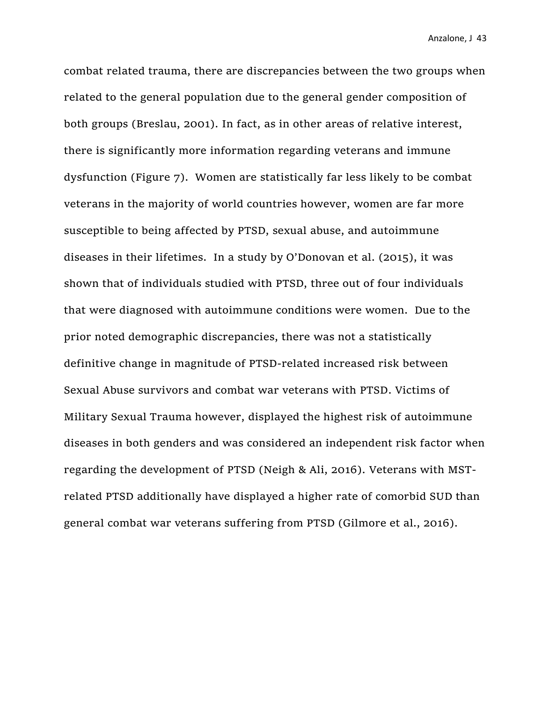combat related trauma, there are discrepancies between the two groups when related to the general population due to the general gender composition of both groups (Breslau, 2001). In fact, as in other areas of relative interest, there is significantly more information regarding veterans and immune dysfunction (Figure 7). Women are statistically far less likely to be combat veterans in the majority of world countries however, women are far more susceptible to being affected by PTSD, sexual abuse, and autoimmune diseases in their lifetimes. In a study by O'Donovan et al. (2015), it was shown that of individuals studied with PTSD, three out of four individuals that were diagnosed with autoimmune conditions were women. Due to the prior noted demographic discrepancies, there was not a statistically definitive change in magnitude of PTSD-related increased risk between Sexual Abuse survivors and combat war veterans with PTSD. Victims of Military Sexual Trauma however, displayed the highest risk of autoimmune diseases in both genders and was considered an independent risk factor when regarding the development of PTSD (Neigh & Ali, 2016). Veterans with MSTrelated PTSD additionally have displayed a higher rate of comorbid SUD than general combat war veterans suffering from PTSD (Gilmore et al., 2016).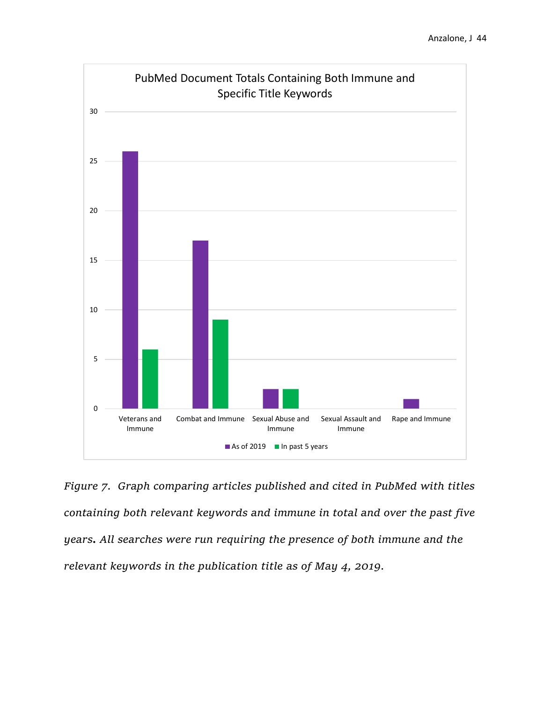

*Figure 7. Graph comparing articles published and cited in PubMed with titles containing both relevant keywords and immune in total and over the past five years. All searches were run requiring the presence of both immune and the relevant keywords in the publication title as of May 4, 2019.*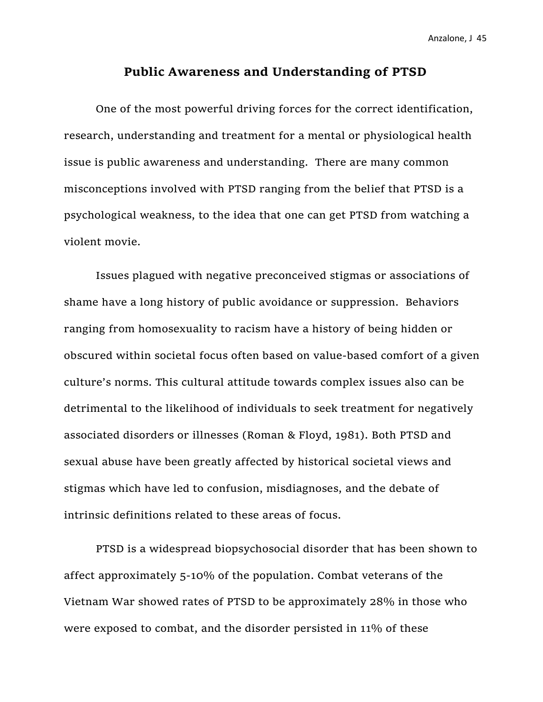#### **Public Awareness and Understanding of PTSD**

One of the most powerful driving forces for the correct identification, research, understanding and treatment for a mental or physiological health issue is public awareness and understanding. There are many common misconceptions involved with PTSD ranging from the belief that PTSD is a psychological weakness, to the idea that one can get PTSD from watching a violent movie.

Issues plagued with negative preconceived stigmas or associations of shame have a long history of public avoidance or suppression. Behaviors ranging from homosexuality to racism have a history of being hidden or obscured within societal focus often based on value-based comfort of a given culture's norms. This cultural attitude towards complex issues also can be detrimental to the likelihood of individuals to seek treatment for negatively associated disorders or illnesses (Roman & Floyd, 1981). Both PTSD and sexual abuse have been greatly affected by historical societal views and stigmas which have led to confusion, misdiagnoses, and the debate of intrinsic definitions related to these areas of focus.

PTSD is a widespread biopsychosocial disorder that has been shown to affect approximately 5-10% of the population. Combat veterans of the Vietnam War showed rates of PTSD to be approximately 28% in those who were exposed to combat, and the disorder persisted in 11% of these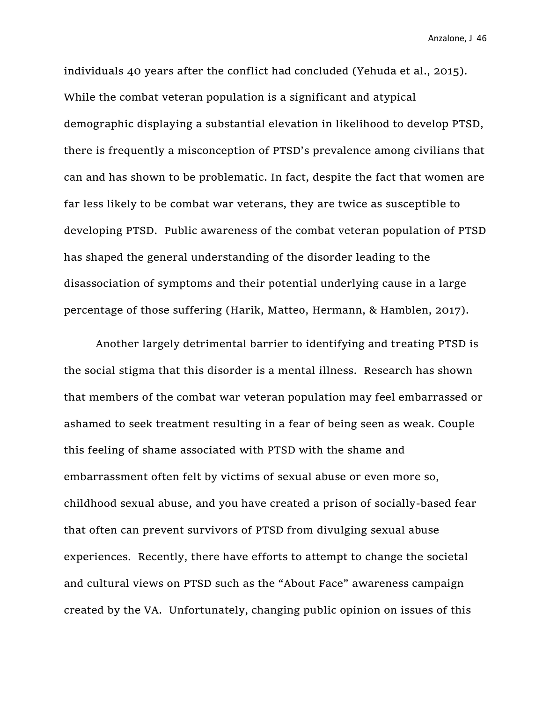individuals 40 years after the conflict had concluded (Yehuda et al., 2015). While the combat veteran population is a significant and atypical demographic displaying a substantial elevation in likelihood to develop PTSD, there is frequently a misconception of PTSD's prevalence among civilians that can and has shown to be problematic. In fact, despite the fact that women are far less likely to be combat war veterans, they are twice as susceptible to developing PTSD. Public awareness of the combat veteran population of PTSD has shaped the general understanding of the disorder leading to the disassociation of symptoms and their potential underlying cause in a large percentage of those suffering (Harik, Matteo, Hermann, & Hamblen, 2017).

Another largely detrimental barrier to identifying and treating PTSD is the social stigma that this disorder is a mental illness. Research has shown that members of the combat war veteran population may feel embarrassed or ashamed to seek treatment resulting in a fear of being seen as weak. Couple this feeling of shame associated with PTSD with the shame and embarrassment often felt by victims of sexual abuse or even more so, childhood sexual abuse, and you have created a prison of socially-based fear that often can prevent survivors of PTSD from divulging sexual abuse experiences. Recently, there have efforts to attempt to change the societal and cultural views on PTSD such as the "About Face" awareness campaign created by the VA. Unfortunately, changing public opinion on issues of this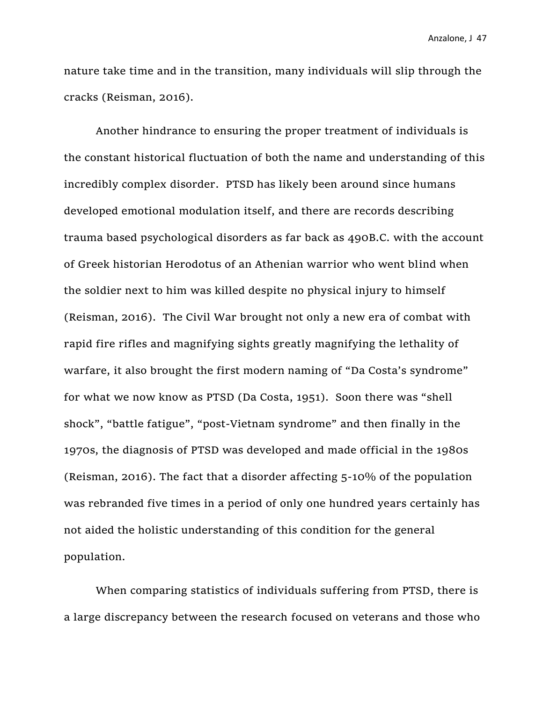nature take time and in the transition, many individuals will slip through the cracks (Reisman, 2016).

Another hindrance to ensuring the proper treatment of individuals is the constant historical fluctuation of both the name and understanding of this incredibly complex disorder. PTSD has likely been around since humans developed emotional modulation itself, and there are records describing trauma based psychological disorders as far back as 490B.C. with the account of Greek historian Herodotus of an Athenian warrior who went blind when the soldier next to him was killed despite no physical injury to himself (Reisman, 2016). The Civil War brought not only a new era of combat with rapid fire rifles and magnifying sights greatly magnifying the lethality of warfare, it also brought the first modern naming of "Da Costa's syndrome" for what we now know as PTSD (Da Costa, 1951). Soon there was "shell shock", "battle fatigue", "post-Vietnam syndrome" and then finally in the 1970s, the diagnosis of PTSD was developed and made official in the 1980s (Reisman, 2016). The fact that a disorder affecting 5-10% of the population was rebranded five times in a period of only one hundred years certainly has not aided the holistic understanding of this condition for the general population.

When comparing statistics of individuals suffering from PTSD, there is a large discrepancy between the research focused on veterans and those who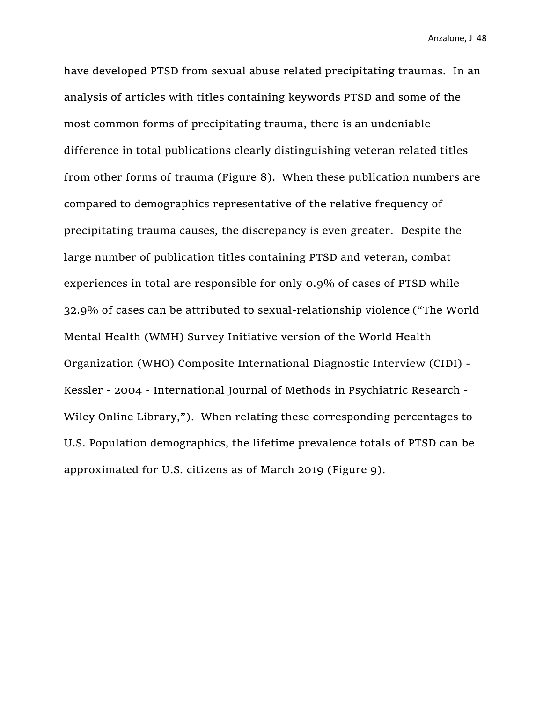have developed PTSD from sexual abuse related precipitating traumas. In an analysis of articles with titles containing keywords PTSD and some of the most common forms of precipitating trauma, there is an undeniable difference in total publications clearly distinguishing veteran related titles from other forms of trauma (Figure 8). When these publication numbers are compared to demographics representative of the relative frequency of precipitating trauma causes, the discrepancy is even greater. Despite the large number of publication titles containing PTSD and veteran, combat experiences in total are responsible for only 0.9% of cases of PTSD while 32.9% of cases can be attributed to sexual-relationship violence ("The World Mental Health (WMH) Survey Initiative version of the World Health Organization (WHO) Composite International Diagnostic Interview (CIDI) - Kessler - 2004 - International Journal of Methods in Psychiatric Research - Wiley Online Library,"). When relating these corresponding percentages to U.S. Population demographics, the lifetime prevalence totals of PTSD can be approximated for U.S. citizens as of March 2019 (Figure 9).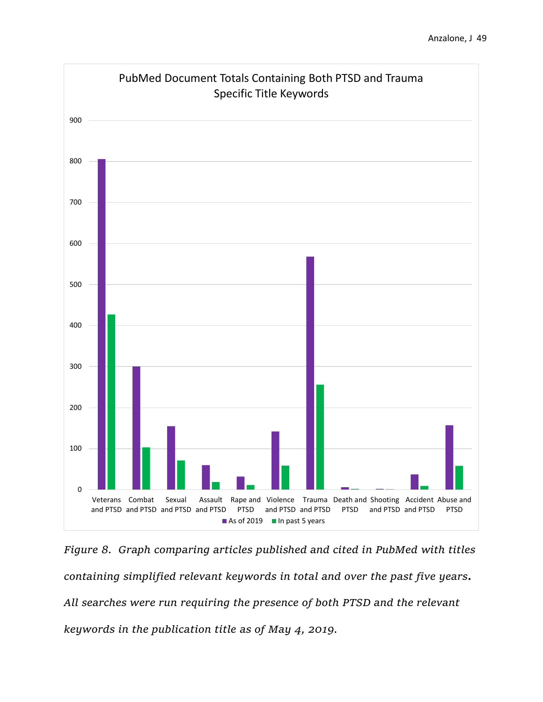

*Figure 8. Graph comparing articles published and cited in PubMed with titles containing simplified relevant keywords in total and over the past five years. All searches were run requiring the presence of both PTSD and the relevant keywords in the publication title as of May 4, 2019.*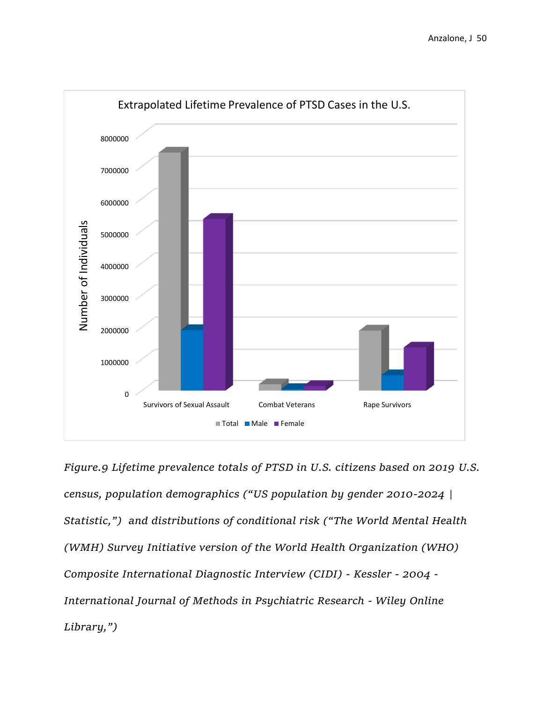

*Figure.9 Lifetime prevalence totals of PTSD in U.S. citizens based on 2019 U.S. census, population demographics ("US population by gender 2010-2024 | Statistic,") and distributions of conditional risk ("The World Mental Health (WMH) Survey Initiative version of the World Health Organization (WHO) Composite International Diagnostic Interview (CIDI) - Kessler - 2004 - International Journal of Methods in Psychiatric Research - Wiley Online Library,")*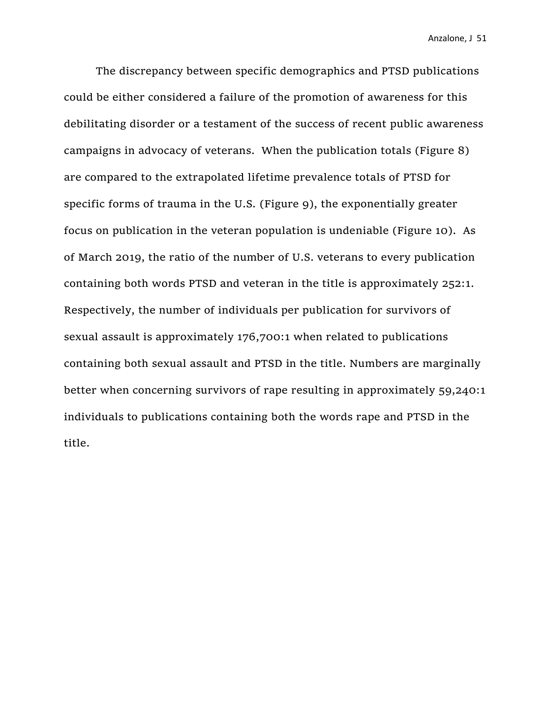The discrepancy between specific demographics and PTSD publications could be either considered a failure of the promotion of awareness for this debilitating disorder or a testament of the success of recent public awareness campaigns in advocacy of veterans. When the publication totals (Figure 8) are compared to the extrapolated lifetime prevalence totals of PTSD for specific forms of trauma in the U.S. (Figure 9), the exponentially greater focus on publication in the veteran population is undeniable (Figure 10). As of March 2019, the ratio of the number of U.S. veterans to every publication containing both words PTSD and veteran in the title is approximately 252:1. Respectively, the number of individuals per publication for survivors of sexual assault is approximately 176,700:1 when related to publications containing both sexual assault and PTSD in the title. Numbers are marginally better when concerning survivors of rape resulting in approximately 59,240:1 individuals to publications containing both the words rape and PTSD in the title.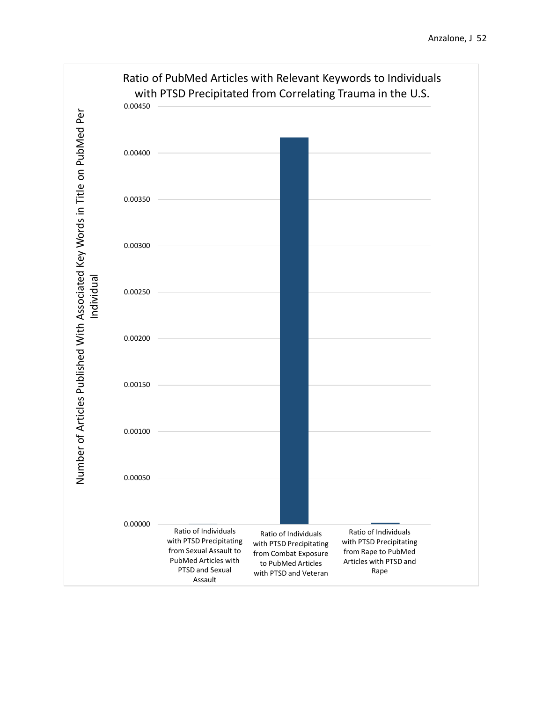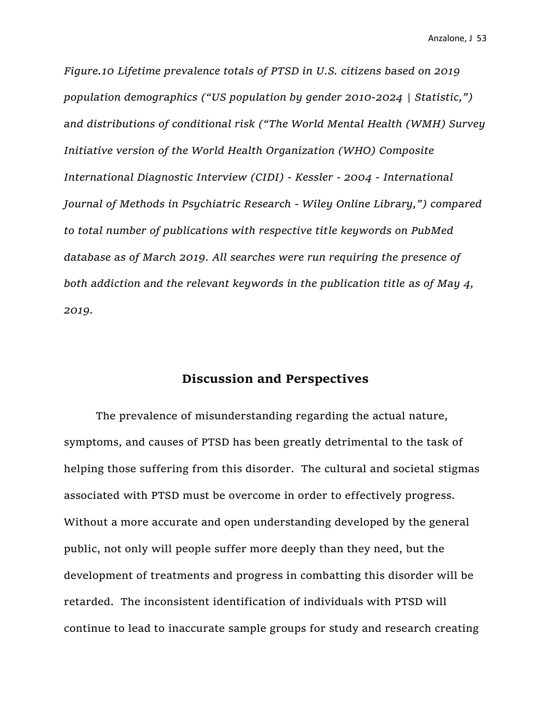*Figure.10 Lifetime prevalence totals of PTSD in U.S. citizens based on 2019 population demographics ("US population by gender 2010-2024 | Statistic,") and distributions of conditional risk ("The World Mental Health (WMH) Survey Initiative version of the World Health Organization (WHO) Composite International Diagnostic Interview (CIDI) - Kessler - 2004 - International Journal of Methods in Psychiatric Research - Wiley Online Library,") compared to total number of publications with respective title keywords on PubMed database as of March 2019. All searches were run requiring the presence of both addiction and the relevant keywords in the publication title as of May 4, 2019.*

### **Discussion and Perspectives**

The prevalence of misunderstanding regarding the actual nature, symptoms, and causes of PTSD has been greatly detrimental to the task of helping those suffering from this disorder. The cultural and societal stigmas associated with PTSD must be overcome in order to effectively progress. Without a more accurate and open understanding developed by the general public, not only will people suffer more deeply than they need, but the development of treatments and progress in combatting this disorder will be retarded. The inconsistent identification of individuals with PTSD will continue to lead to inaccurate sample groups for study and research creating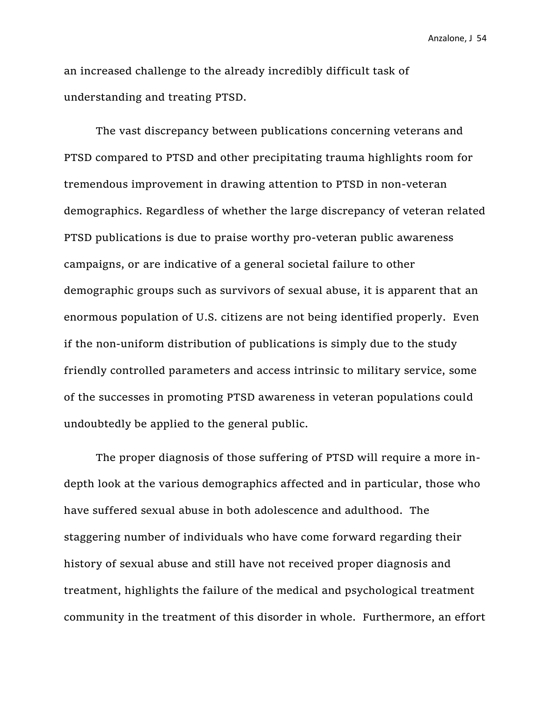an increased challenge to the already incredibly difficult task of understanding and treating PTSD.

The vast discrepancy between publications concerning veterans and PTSD compared to PTSD and other precipitating trauma highlights room for tremendous improvement in drawing attention to PTSD in non-veteran demographics. Regardless of whether the large discrepancy of veteran related PTSD publications is due to praise worthy pro-veteran public awareness campaigns, or are indicative of a general societal failure to other demographic groups such as survivors of sexual abuse, it is apparent that an enormous population of U.S. citizens are not being identified properly. Even if the non-uniform distribution of publications is simply due to the study friendly controlled parameters and access intrinsic to military service, some of the successes in promoting PTSD awareness in veteran populations could undoubtedly be applied to the general public.

The proper diagnosis of those suffering of PTSD will require a more indepth look at the various demographics affected and in particular, those who have suffered sexual abuse in both adolescence and adulthood. The staggering number of individuals who have come forward regarding their history of sexual abuse and still have not received proper diagnosis and treatment, highlights the failure of the medical and psychological treatment community in the treatment of this disorder in whole. Furthermore, an effort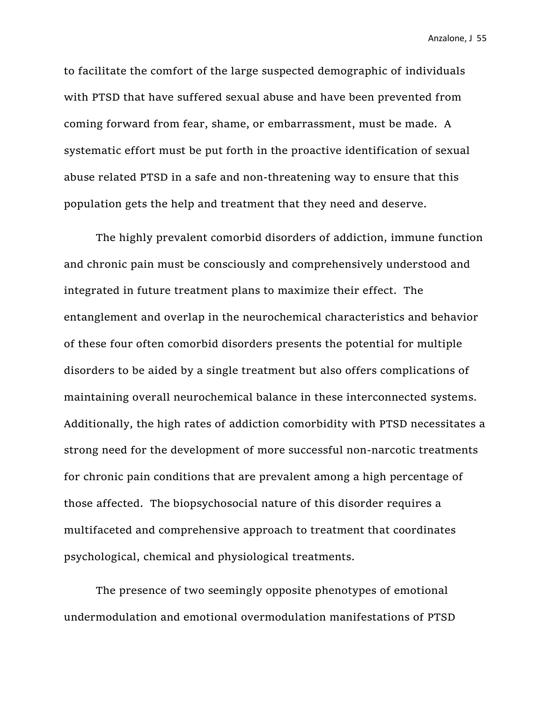to facilitate the comfort of the large suspected demographic of individuals with PTSD that have suffered sexual abuse and have been prevented from coming forward from fear, shame, or embarrassment, must be made. A systematic effort must be put forth in the proactive identification of sexual abuse related PTSD in a safe and non-threatening way to ensure that this population gets the help and treatment that they need and deserve.

The highly prevalent comorbid disorders of addiction, immune function and chronic pain must be consciously and comprehensively understood and integrated in future treatment plans to maximize their effect. The entanglement and overlap in the neurochemical characteristics and behavior of these four often comorbid disorders presents the potential for multiple disorders to be aided by a single treatment but also offers complications of maintaining overall neurochemical balance in these interconnected systems. Additionally, the high rates of addiction comorbidity with PTSD necessitates a strong need for the development of more successful non-narcotic treatments for chronic pain conditions that are prevalent among a high percentage of those affected. The biopsychosocial nature of this disorder requires a multifaceted and comprehensive approach to treatment that coordinates psychological, chemical and physiological treatments.

The presence of two seemingly opposite phenotypes of emotional undermodulation and emotional overmodulation manifestations of PTSD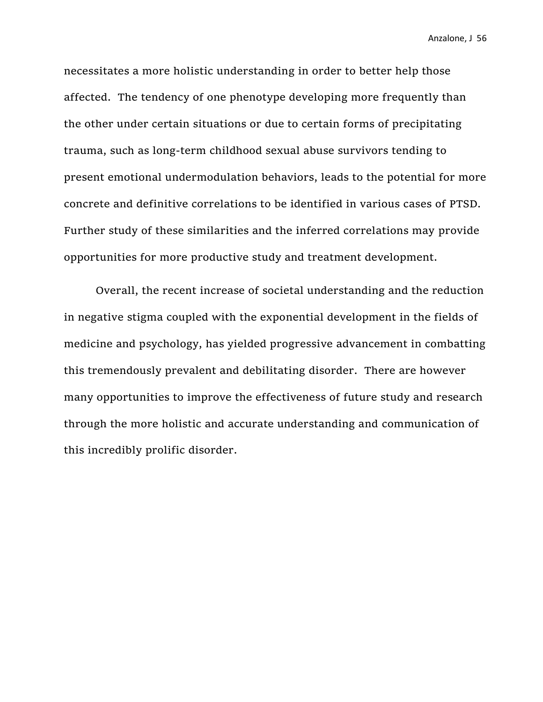necessitates a more holistic understanding in order to better help those affected. The tendency of one phenotype developing more frequently than the other under certain situations or due to certain forms of precipitating trauma, such as long-term childhood sexual abuse survivors tending to present emotional undermodulation behaviors, leads to the potential for more concrete and definitive correlations to be identified in various cases of PTSD. Further study of these similarities and the inferred correlations may provide opportunities for more productive study and treatment development.

Overall, the recent increase of societal understanding and the reduction in negative stigma coupled with the exponential development in the fields of medicine and psychology, has yielded progressive advancement in combatting this tremendously prevalent and debilitating disorder. There are however many opportunities to improve the effectiveness of future study and research through the more holistic and accurate understanding and communication of this incredibly prolific disorder.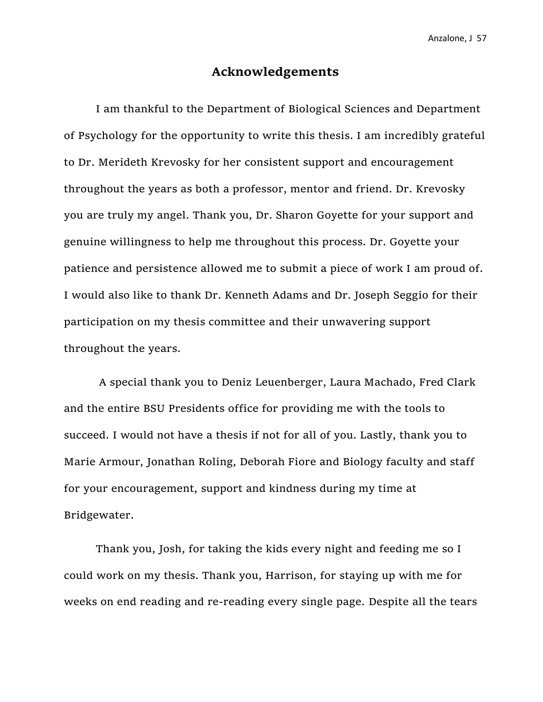## **Acknowledgements**

I am thankful to the Department of Biological Sciences and Department of Psychology for the opportunity to write this thesis. I am incredibly grateful to Dr. Merideth Krevosky for her consistent support and encouragement throughout the years as both a professor, mentor and friend. Dr. Krevosky you are truly my angel. Thank you, Dr. Sharon Goyette for your support and genuine willingness to help me throughout this process. Dr. Goyette your patience and persistence allowed me to submit a piece of work I am proud of. I would also like to thank Dr. Kenneth Adams and Dr. Joseph Seggio for their participation on my thesis committee and their unwavering support throughout the years.

A special thank you to Deniz Leuenberger, Laura Machado, Fred Clark and the entire BSU Presidents office for providing me with the tools to succeed. I would not have a thesis if not for all of you. Lastly, thank you to Marie Armour, Jonathan Roling, Deborah Fiore and Biology faculty and staff for your encouragement, support and kindness during my time at Bridgewater.

Thank you, Josh, for taking the kids every night and feeding me so I could work on my thesis. Thank you, Harrison, for staying up with me for weeks on end reading and re-reading every single page. Despite all the tears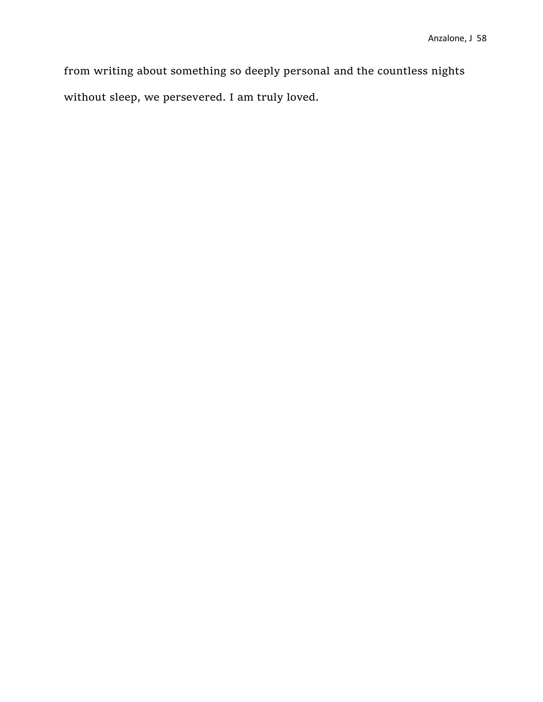from writing about something so deeply personal and the countless nights without sleep, we persevered. I am truly loved.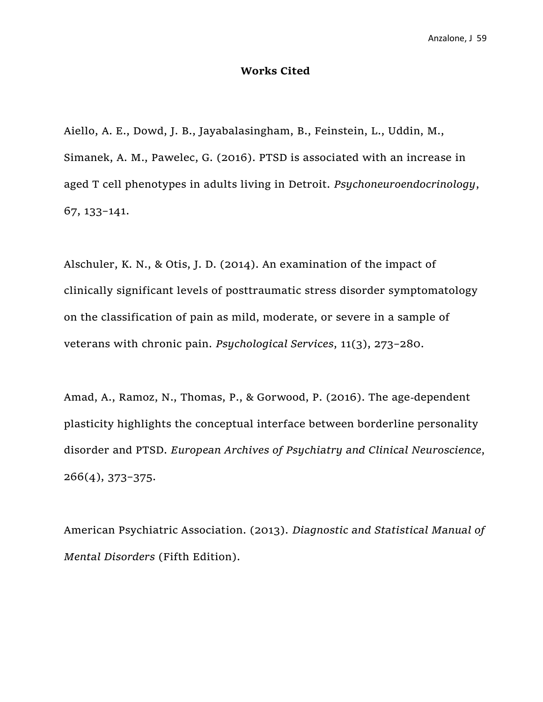#### **Works Cited**

Aiello, A. E., Dowd, J. B., Jayabalasingham, B., Feinstein, L., Uddin, M., Simanek, A. M., Pawelec, G. (2016). PTSD is associated with an increase in aged T cell phenotypes in adults living in Detroit. *Psychoneuroendocrinology*, 67, 133–141.

Alschuler, K. N., & Otis, J. D. (2014). An examination of the impact of clinically significant levels of posttraumatic stress disorder symptomatology on the classification of pain as mild, moderate, or severe in a sample of veterans with chronic pain. *Psychological Services*, 11(3), 273–280.

Amad, A., Ramoz, N., Thomas, P., & Gorwood, P. (2016). The age-dependent plasticity highlights the conceptual interface between borderline personality disorder and PTSD. *European Archives of Psychiatry and Clinical Neuroscience*, 266(4), 373–375.

American Psychiatric Association. (2013). *Diagnostic and Statistical Manual of Mental Disorders* (Fifth Edition).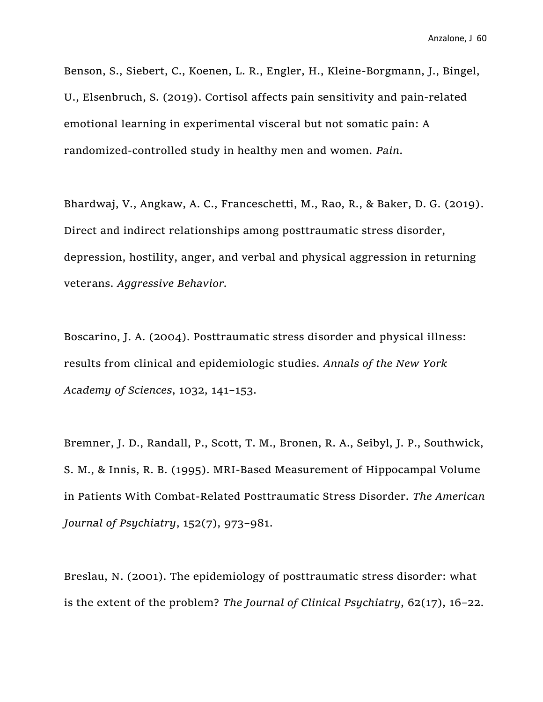Benson, S., Siebert, C., Koenen, L. R., Engler, H., Kleine-Borgmann, J., Bingel, U., Elsenbruch, S. (2019). Cortisol affects pain sensitivity and pain-related emotional learning in experimental visceral but not somatic pain: A randomized-controlled study in healthy men and women. *Pain*.

Bhardwaj, V., Angkaw, A. C., Franceschetti, M., Rao, R., & Baker, D. G. (2019). Direct and indirect relationships among posttraumatic stress disorder, depression, hostility, anger, and verbal and physical aggression in returning veterans. *Aggressive Behavior.* 

Boscarino, J. A. (2004). Posttraumatic stress disorder and physical illness: results from clinical and epidemiologic studies. *Annals of the New York Academy of Sciences*, 1032, 141–153.

Bremner, J. D., Randall, P., Scott, T. M., Bronen, R. A., Seibyl, J. P., Southwick, S. M., & Innis, R. B. (1995). MRI-Based Measurement of Hippocampal Volume in Patients With Combat-Related Posttraumatic Stress Disorder. *The American Journal of Psychiatry*, 152(7), 973–981.

Breslau, N. (2001). The epidemiology of posttraumatic stress disorder: what is the extent of the problem? *The Journal of Clinical Psychiatry*, 62(17), 16–22.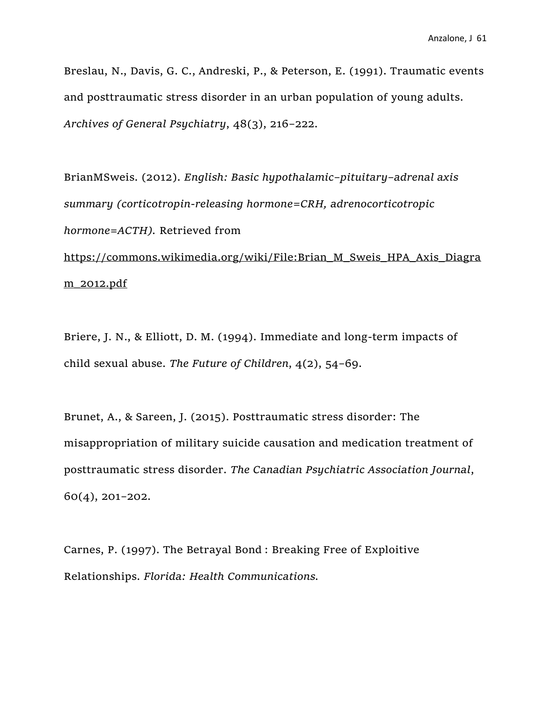Breslau, N., Davis, G. C., Andreski, P., & Peterson, E. (1991). Traumatic events and posttraumatic stress disorder in an urban population of young adults. *Archives of General Psychiatry*, 48(3), 216–222.

BrianMSweis. (2012). *English: Basic hypothalamic–pituitary–adrenal axis summary (corticotropin-releasing hormone=CRH, adrenocorticotropic hormone=ACTH).* Retrieved from

[https://commons.wikimedia.org/wiki/File:Brian\\_M\\_Sweis\\_HPA\\_Axis\\_Diagra](https://commons.wikimedia.org/wiki/File:Brian_M_Sweis_HPA_Axis_Diagram_2012.pdf) [m\\_2012.pdf](https://commons.wikimedia.org/wiki/File:Brian_M_Sweis_HPA_Axis_Diagram_2012.pdf)

Briere, J. N., & Elliott, D. M. (1994). Immediate and long-term impacts of child sexual abuse. *The Future of Children*, 4(2), 54–69.

Brunet, A., & Sareen, J. (2015). Posttraumatic stress disorder: The misappropriation of military suicide causation and medication treatment of posttraumatic stress disorder. *The Canadian Psychiatric Association Journal*, 60(4), 201–202.

Carnes, P. (1997). The Betrayal Bond : Breaking Free of Exploitive Relationships. *Florida: Health Communications.*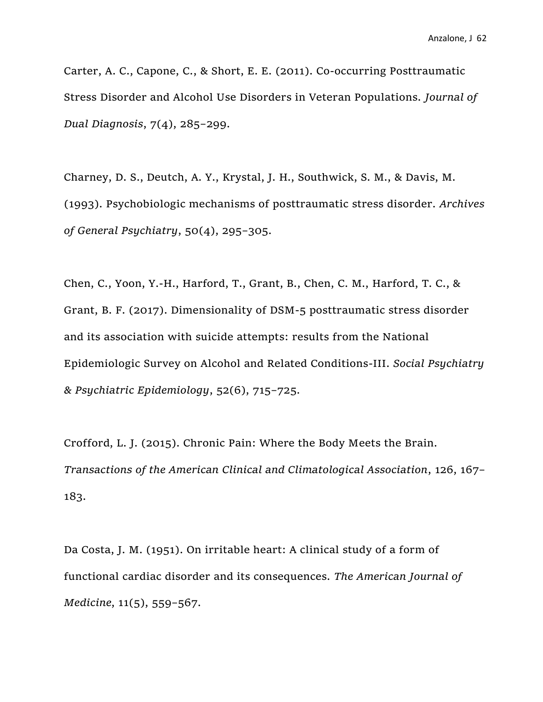Carter, A. C., Capone, C., & Short, E. E. (2011). Co-occurring Posttraumatic Stress Disorder and Alcohol Use Disorders in Veteran Populations. *Journal of Dual Diagnosis*, 7(4), 285–299.

Charney, D. S., Deutch, A. Y., Krystal, J. H., Southwick, S. M., & Davis, M. (1993). Psychobiologic mechanisms of posttraumatic stress disorder. *Archives of General Psychiatry*, 50(4), 295–305.

Chen, C., Yoon, Y.-H., Harford, T., Grant, B., Chen, C. M., Harford, T. C., & Grant, B. F. (2017). Dimensionality of DSM-5 posttraumatic stress disorder and its association with suicide attempts: results from the National Epidemiologic Survey on Alcohol and Related Conditions-III. *Social Psychiatry & Psychiatric Epidemiology*, 52(6), 715–725.

Crofford, L. J. (2015). Chronic Pain: Where the Body Meets the Brain. *Transactions of the American Clinical and Climatological Association*, 126, 167– 183.

Da Costa, J. M. (1951). On irritable heart: A clinical study of a form of functional cardiac disorder and its consequences. *The American Journal of Medicine*, 11(5), 559–567.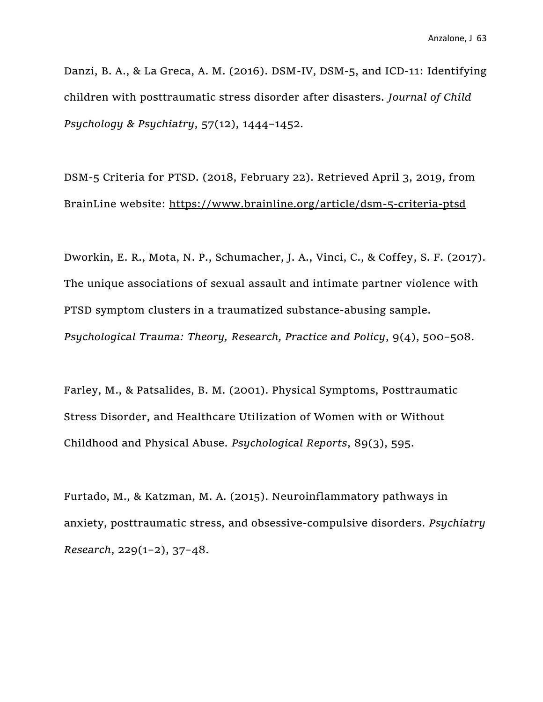Danzi, B. A., & La Greca, A. M. (2016). DSM-IV, DSM-5, and ICD-11: Identifying children with posttraumatic stress disorder after disasters. *Journal of Child Psychology & Psychiatry*, 57(12), 1444–1452.

DSM-5 Criteria for PTSD. (2018, February 22). Retrieved April 3, 2019, from BrainLine website:<https://www.brainline.org/article/dsm-5-criteria-ptsd>

Dworkin, E. R., Mota, N. P., Schumacher, J. A., Vinci, C., & Coffey, S. F. (2017). The unique associations of sexual assault and intimate partner violence with PTSD symptom clusters in a traumatized substance-abusing sample. *Psychological Trauma: Theory, Research, Practice and Policy*, 9(4), 500–508.

Farley, M., & Patsalides, B. M. (2001). Physical Symptoms, Posttraumatic Stress Disorder, and Healthcare Utilization of Women with or Without Childhood and Physical Abuse. *Psychological Reports*, 89(3), 595.

Furtado, M., & Katzman, M. A. (2015). Neuroinflammatory pathways in anxiety, posttraumatic stress, and obsessive-compulsive disorders. *Psychiatry Research*, 229(1–2), 37–48.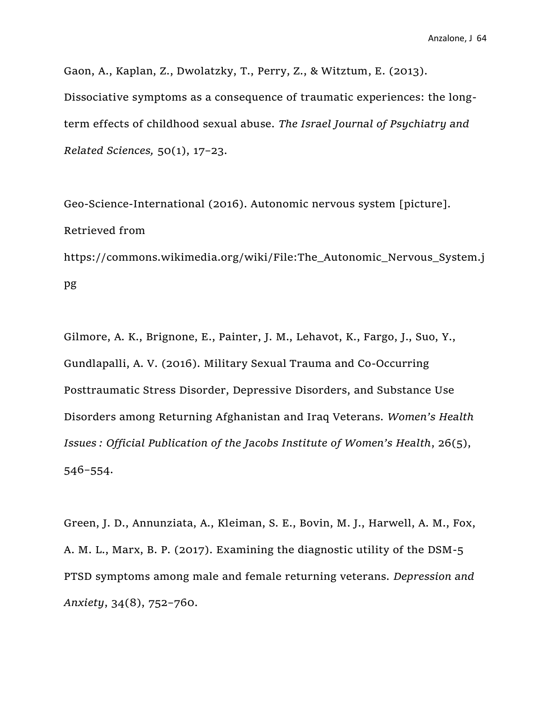Gaon, A., Kaplan, Z., Dwolatzky, T., Perry, Z., & Witztum, E. (2013). Dissociative symptoms as a consequence of traumatic experiences: the longterm effects of childhood sexual abuse. *The Israel Journal of Psychiatry and Related Sciences,* 50(1), 17–23.

Geo-Science-International (2016). Autonomic nervous system [picture]. Retrieved from https://commons.wikimedia.org/wiki/File:The\_Autonomic\_Nervous\_System.j pg

Gilmore, A. K., Brignone, E., Painter, J. M., Lehavot, K., Fargo, J., Suo, Y., Gundlapalli, A. V. (2016). Military Sexual Trauma and Co-Occurring Posttraumatic Stress Disorder, Depressive Disorders, and Substance Use Disorders among Returning Afghanistan and Iraq Veterans. *Women's Health Issues : Official Publication of the Jacobs Institute of Women's Health*, 26(5), 546–554.

Green, J. D., Annunziata, A., Kleiman, S. E., Bovin, M. J., Harwell, A. M., Fox, A. M. L., Marx, B. P. (2017). Examining the diagnostic utility of the DSM-5 PTSD symptoms among male and female returning veterans. *Depression and Anxiety*, 34(8), 752–760.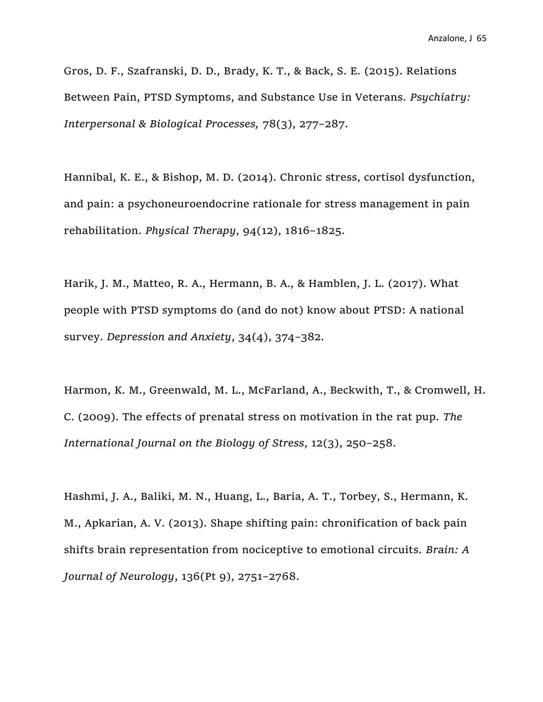Gros, D. F., Szafranski, D. D., Brady, K. T., & Back, S. E. (2015). Relations Between Pain, PTSD Symptoms, and Substance Use in Veterans. *Psychiatry: Interpersonal & Biological Processes,* 78(3), 277–287.

Hannibal, K. E., & Bishop, M. D. (2014). Chronic stress, cortisol dysfunction, and pain: a psychoneuroendocrine rationale for stress management in pain rehabilitation. *Physical Therapy*, 94(12), 1816–1825.

Harik, J. M., Matteo, R. A., Hermann, B. A., & Hamblen, J. L. (2017). What people with PTSD symptoms do (and do not) know about PTSD: A national survey. *Depression and Anxiety*, 34(4), 374–382.

Harmon, K. M., Greenwald, M. L., McFarland, A., Beckwith, T., & Cromwell, H. C. (2009). The effects of prenatal stress on motivation in the rat pup. *The International Journal on the Biology of Stress*, 12(3), 250–258.

Hashmi, J. A., Baliki, M. N., Huang, L., Baria, A. T., Torbey, S., Hermann, K. M., Apkarian, A. V. (2013). Shape shifting pain: chronification of back pain shifts brain representation from nociceptive to emotional circuits. *Brain: A Journal of Neurology*, 136(Pt 9), 2751–2768.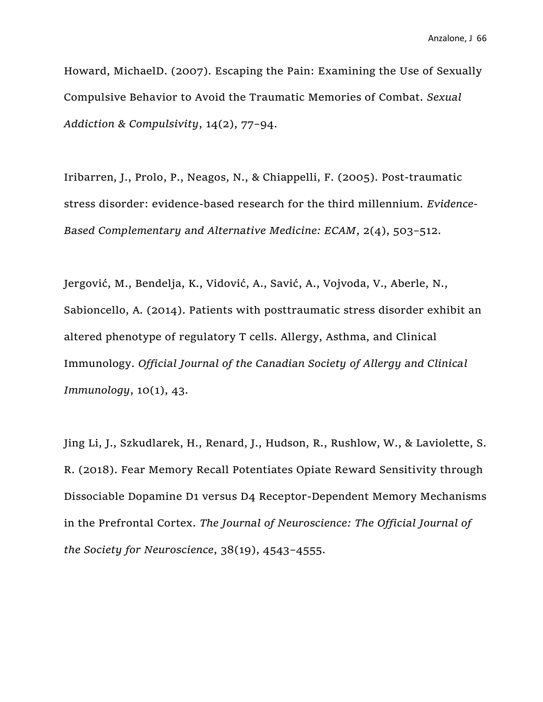Howard, MichaelD. (2007). Escaping the Pain: Examining the Use of Sexually Compulsive Behavior to Avoid the Traumatic Memories of Combat. *Sexual Addiction & Compulsivity*, 14(2), 77–94.

Iribarren, J., Prolo, P., Neagos, N., & Chiappelli, F. (2005). Post-traumatic stress disorder: evidence-based research for the third millennium. *Evidence-Based Complementary and Alternative Medicine: ECAM*, 2(4), 503–512.

Jergović, M., Bendelja, K., Vidović, A., Savić, A., Vojvoda, V., Aberle, N., Sabioncello, A. (2014). Patients with posttraumatic stress disorder exhibit an altered phenotype of regulatory T cells. Allergy, Asthma, and Clinical Immunology. *Official Journal of the Canadian Society of Allergy and Clinical Immunology*, 10(1), 43.

Jing Li, J., Szkudlarek, H., Renard, J., Hudson, R., Rushlow, W., & Laviolette, S. R. (2018). Fear Memory Recall Potentiates Opiate Reward Sensitivity through Dissociable Dopamine D1 versus D4 Receptor-Dependent Memory Mechanisms in the Prefrontal Cortex. *The Journal of Neuroscience: The Official Journal of the Society for Neuroscience*, 38(19), 4543–4555.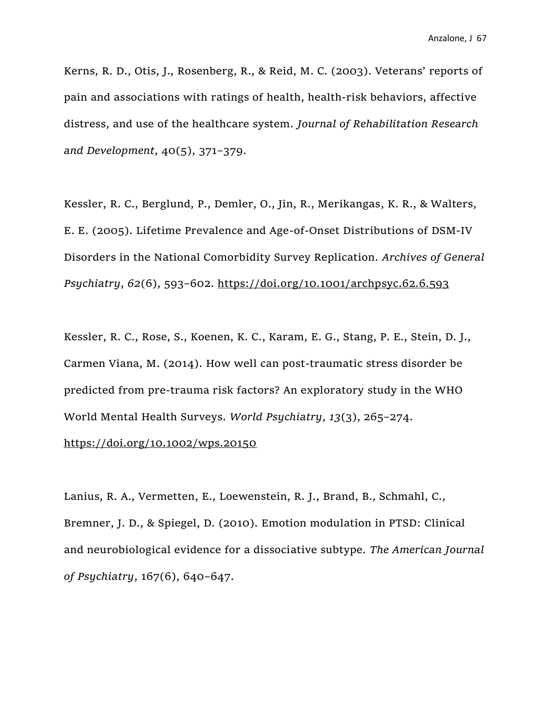Kerns, R. D., Otis, J., Rosenberg, R., & Reid, M. C. (2003). Veterans' reports of pain and associations with ratings of health, health-risk behaviors, affective distress, and use of the healthcare system. *Journal of Rehabilitation Research and Development*, 40(5), 371–379.

Kessler, R. C., Berglund, P., Demler, O., Jin, R., Merikangas, K. R., & Walters, E. E. (2005). Lifetime Prevalence and Age-of-Onset Distributions of DSM-IV Disorders in the National Comorbidity Survey Replication. *Archives of General Psychiatry*, *62*(6), 593–602.<https://doi.org/10.1001/archpsyc.62.6.593>

Kessler, R. C., Rose, S., Koenen, K. C., Karam, E. G., Stang, P. E., Stein, D. J., Carmen Viana, M. (2014). How well can post-traumatic stress disorder be predicted from pre-trauma risk factors? An exploratory study in the WHO World Mental Health Surveys. *World Psychiatry*, *13*(3), 265–274.

#### <https://doi.org/10.1002/wps.20150>

Lanius, R. A., Vermetten, E., Loewenstein, R. J., Brand, B., Schmahl, C., Bremner, J. D., & Spiegel, D. (2010). Emotion modulation in PTSD: Clinical and neurobiological evidence for a dissociative subtype. *The American Journal of Psychiatry*, 167(6), 640–647.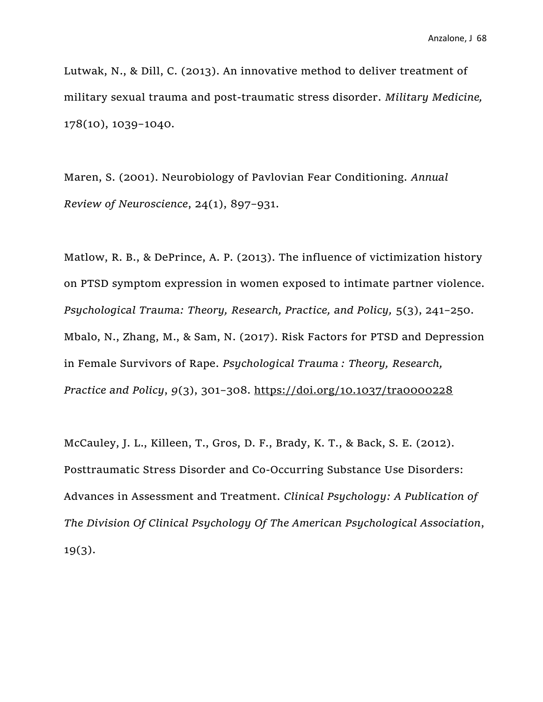Lutwak, N., & Dill, C. (2013). An innovative method to deliver treatment of military sexual trauma and post-traumatic stress disorder. *Military Medicine,*  178(10), 1039–1040.

Maren, S. (2001). Neurobiology of Pavlovian Fear Conditioning. *Annual Review of Neuroscience*, 24(1), 897–931.

Matlow, R. B., & DePrince, A. P. (2013). The influence of victimization history on PTSD symptom expression in women exposed to intimate partner violence. *Psychological Trauma: Theory, Research, Practice, and Policy,* 5(3), 241–250. Mbalo, N., Zhang, M., & Sam, N. (2017). Risk Factors for PTSD and Depression in Female Survivors of Rape. *Psychological Trauma : Theory, Research, Practice and Policy*, *9*(3), 301–308.<https://doi.org/10.1037/tra0000228>

McCauley, J. L., Killeen, T., Gros, D. F., Brady, K. T., & Back, S. E. (2012). Posttraumatic Stress Disorder and Co-Occurring Substance Use Disorders: Advances in Assessment and Treatment. *Clinical Psychology: A Publication of The Division Of Clinical Psychology Of The American Psychological Association*, 19(3).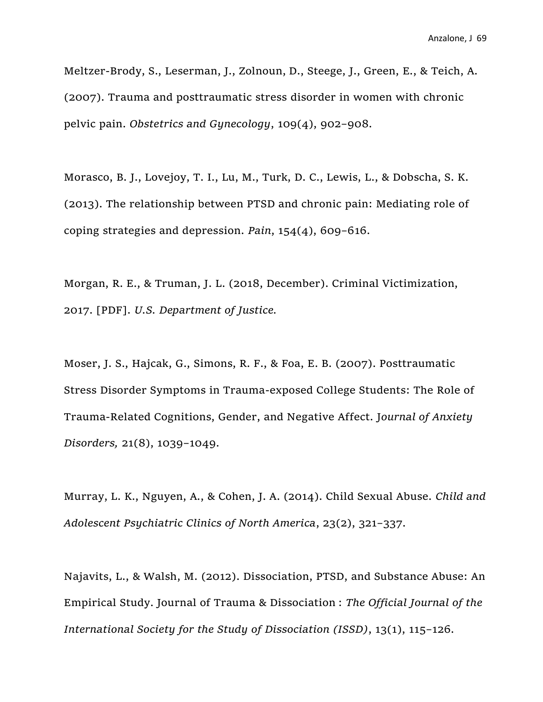Meltzer-Brody, S., Leserman, J., Zolnoun, D., Steege, J., Green, E., & Teich, A. (2007). Trauma and posttraumatic stress disorder in women with chronic pelvic pain. *Obstetrics and Gynecology*, 109(4), 902–908.

Morasco, B. J., Lovejoy, T. I., Lu, M., Turk, D. C., Lewis, L., & Dobscha, S. K. (2013). The relationship between PTSD and chronic pain: Mediating role of coping strategies and depression. *Pain*, 154(4), 609–616.

Morgan, R. E., & Truman, J. L. (2018, December). Criminal Victimization, 2017. [PDF]. *U.S. Department of Justice.*

Moser, J. S., Hajcak, G., Simons, R. F., & Foa, E. B. (2007). Posttraumatic Stress Disorder Symptoms in Trauma-exposed College Students: The Role of Trauma-Related Cognitions, Gender, and Negative Affect. J*ournal of Anxiety Disorders,* 21(8), 1039–1049.

Murray, L. K., Nguyen, A., & Cohen, J. A. (2014). Child Sexual Abuse. *Child and Adolescent Psychiatric Clinics of North America*, 23(2), 321–337.

Najavits, L., & Walsh, M. (2012). Dissociation, PTSD, and Substance Abuse: An Empirical Study. Journal of Trauma & Dissociation : *The Official Journal of the International Society for the Study of Dissociation (ISSD)*, 13(1), 115–126.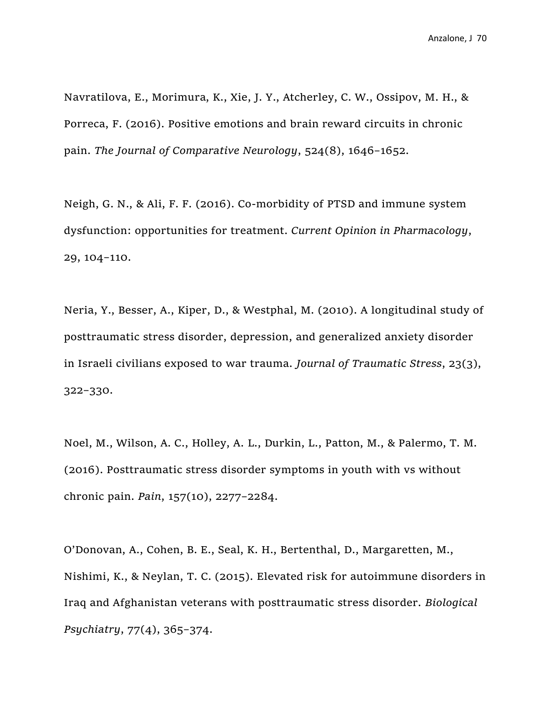Navratilova, E., Morimura, K., Xie, J. Y., Atcherley, C. W., Ossipov, M. H., & Porreca, F. (2016). Positive emotions and brain reward circuits in chronic pain. *The Journal of Comparative Neurology*, 524(8), 1646–1652.

Neigh, G. N., & Ali, F. F. (2016). Co-morbidity of PTSD and immune system dysfunction: opportunities for treatment. *Current Opinion in Pharmacology*, 29, 104–110.

Neria, Y., Besser, A., Kiper, D., & Westphal, M. (2010). A longitudinal study of posttraumatic stress disorder, depression, and generalized anxiety disorder in Israeli civilians exposed to war trauma. *Journal of Traumatic Stress*, 23(3), 322–330.

Noel, M., Wilson, A. C., Holley, A. L., Durkin, L., Patton, M., & Palermo, T. M. (2016). Posttraumatic stress disorder symptoms in youth with vs without chronic pain. *Pain*, 157(10), 2277–2284.

O'Donovan, A., Cohen, B. E., Seal, K. H., Bertenthal, D., Margaretten, M., Nishimi, K., & Neylan, T. C. (2015). Elevated risk for autoimmune disorders in Iraq and Afghanistan veterans with posttraumatic stress disorder. *Biological Psychiatry*, 77(4), 365–374.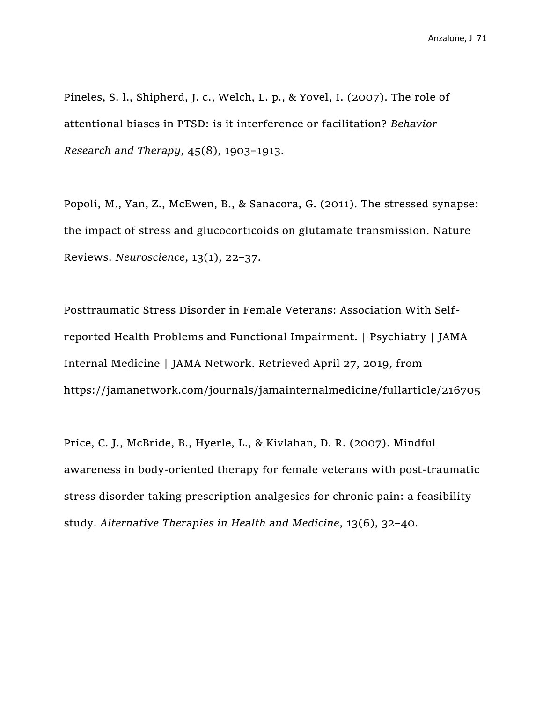Pineles, S. l., Shipherd, J. c., Welch, L. p., & Yovel, I. (2007). The role of attentional biases in PTSD: is it interference or facilitation? *Behavior Research and Therapy*, 45(8), 1903–1913.

Popoli, M., Yan, Z., McEwen, B., & Sanacora, G. (2011). The stressed synapse: the impact of stress and glucocorticoids on glutamate transmission. Nature Reviews. *Neuroscience*, 13(1), 22–37.

Posttraumatic Stress Disorder in Female Veterans: Association With Selfreported Health Problems and Functional Impairment. | Psychiatry | JAMA Internal Medicine | JAMA Network. Retrieved April 27, 2019, from <https://jamanetwork.com/journals/jamainternalmedicine/fullarticle/216705>

Price, C. J., McBride, B., Hyerle, L., & Kivlahan, D. R. (2007). Mindful awareness in body-oriented therapy for female veterans with post-traumatic stress disorder taking prescription analgesics for chronic pain: a feasibility study. *Alternative Therapies in Health and Medicine*, 13(6), 32–40.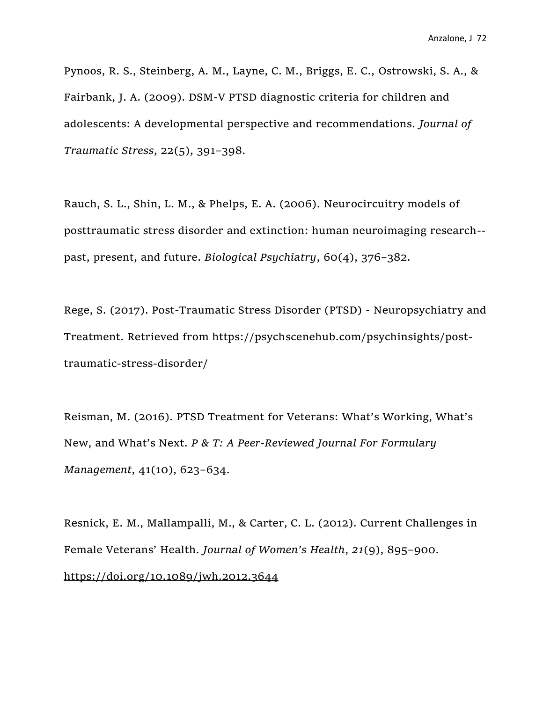Pynoos, R. S., Steinberg, A. M., Layne, C. M., Briggs, E. C., Ostrowski, S. A., & Fairbank, J. A. (2009). DSM-V PTSD diagnostic criteria for children and adolescents: A developmental perspective and recommendations. *Journal of Traumatic Stress*, 22(5), 391–398.

Rauch, S. L., Shin, L. M., & Phelps, E. A. (2006). Neurocircuitry models of posttraumatic stress disorder and extinction: human neuroimaging research- past, present, and future. *Biological Psychiatry*, 60(4), 376–382.

Rege, S. (2017). Post-Traumatic Stress Disorder (PTSD) - Neuropsychiatry and Treatment. Retrieved from https://psychscenehub.com/psychinsights/posttraumatic-stress-disorder/

Reisman, M. (2016). PTSD Treatment for Veterans: What's Working, What's New, and What's Next. *P & T: A Peer-Reviewed Journal For Formulary Management*, 41(10), 623–634.

Resnick, E. M., Mallampalli, M., & Carter, C. L. (2012). Current Challenges in Female Veterans' Health. *Journal of Women's Health*, *21*(9), 895–900. <https://doi.org/10.1089/jwh.2012.3644>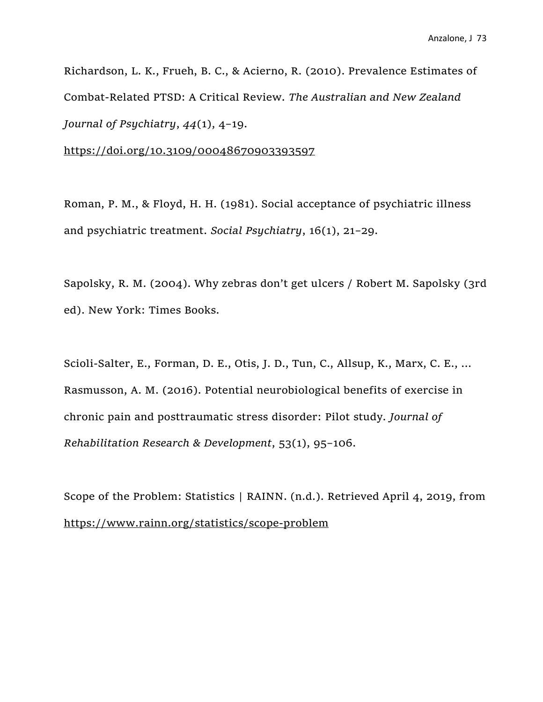Richardson, L. K., Frueh, B. C., & Acierno, R. (2010). Prevalence Estimates of Combat-Related PTSD: A Critical Review. *The Australian and New Zealand Journal of Psychiatry*, *44*(1), 4–19.

<https://doi.org/10.3109/00048670903393597>

Roman, P. M., & Floyd, H. H. (1981). Social acceptance of psychiatric illness and psychiatric treatment. *Social Psychiatry*, 16(1), 21–29.

Sapolsky, R. M. (2004). Why zebras don't get ulcers / Robert M. Sapolsky (3rd ed). New York: Times Books.

Scioli-Salter, E., Forman, D. E., Otis, J. D., Tun, C., Allsup, K., Marx, C. E., … Rasmusson, A. M. (2016). Potential neurobiological benefits of exercise in chronic pain and posttraumatic stress disorder: Pilot study. *Journal of Rehabilitation Research & Development*, 53(1), 95–106.

Scope of the Problem: Statistics | RAINN. (n.d.). Retrieved April 4, 2019, from <https://www.rainn.org/statistics/scope-problem>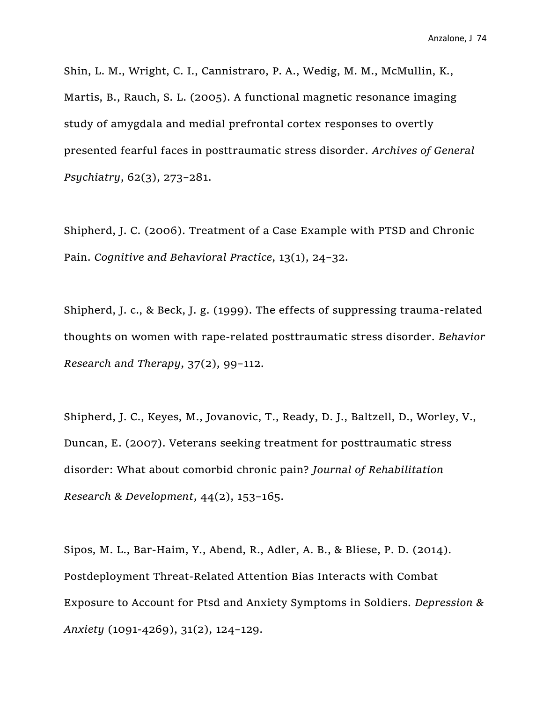Shin, L. M., Wright, C. I., Cannistraro, P. A., Wedig, M. M., McMullin, K., Martis, B., Rauch, S. L. (2005). A functional magnetic resonance imaging study of amygdala and medial prefrontal cortex responses to overtly presented fearful faces in posttraumatic stress disorder. *Archives of General Psychiatry*, 62(3), 273–281.

Shipherd, J. C. (2006). Treatment of a Case Example with PTSD and Chronic Pain. *Cognitive and Behavioral Practice*, 13(1), 24–32.

Shipherd, J. c., & Beck, J. g. (1999). The effects of suppressing trauma-related thoughts on women with rape-related posttraumatic stress disorder. *Behavior Research and Therapy*, 37(2), 99–112.

Shipherd, J. C., Keyes, M., Jovanovic, T., Ready, D. J., Baltzell, D., Worley, V., Duncan, E. (2007). Veterans seeking treatment for posttraumatic stress disorder: What about comorbid chronic pain? *Journal of Rehabilitation Research & Development*, 44(2), 153–165.

Sipos, M. L., Bar‐Haim, Y., Abend, R., Adler, A. B., & Bliese, P. D. (2014). Postdeployment Threat-Related Attention Bias Interacts with Combat Exposure to Account for Ptsd and Anxiety Symptoms in Soldiers. *Depression & Anxiety* (1091-4269), 31(2), 124–129.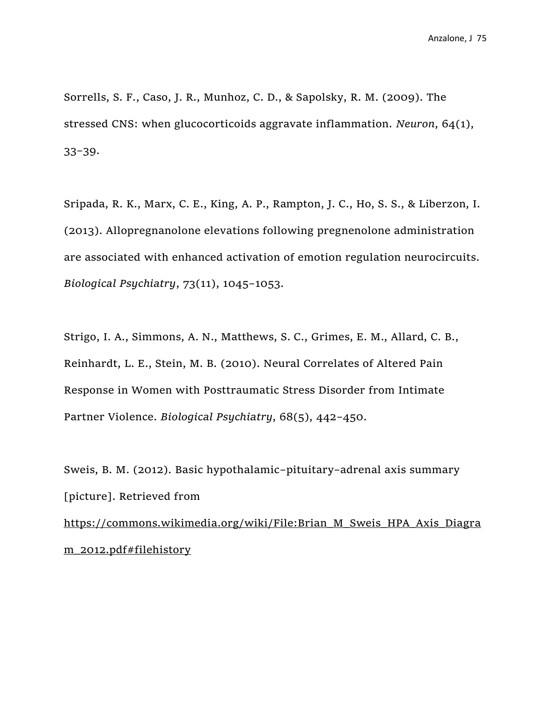Sorrells, S. F., Caso, J. R., Munhoz, C. D., & Sapolsky, R. M. (2009). The stressed CNS: when glucocorticoids aggravate inflammation. *Neuron*, 64(1), 33–39.

Sripada, R. K., Marx, C. E., King, A. P., Rampton, J. C., Ho, S. S., & Liberzon, I. (2013). Allopregnanolone elevations following pregnenolone administration are associated with enhanced activation of emotion regulation neurocircuits. *Biological Psychiatry*, 73(11), 1045–1053.

Strigo, I. A., Simmons, A. N., Matthews, S. C., Grimes, E. M., Allard, C. B., Reinhardt, L. E., Stein, M. B. (2010). Neural Correlates of Altered Pain Response in Women with Posttraumatic Stress Disorder from Intimate Partner Violence. *Biological Psychiatry*, 68(5), 442–450.

Sweis, B. M. (2012). Basic hypothalamic–pituitary–adrenal axis summary [picture]. Retrieved from [https://commons.wikimedia.org/wiki/File:Brian\\_M\\_Sweis\\_HPA\\_Axis\\_Diagra](https://commons.wikimedia.org/wiki/File:Brian_M_Sweis_HPA_Axis_Diagram_2012.pdf#filehistory) [m\\_2012.pdf#filehistory](https://commons.wikimedia.org/wiki/File:Brian_M_Sweis_HPA_Axis_Diagram_2012.pdf#filehistory)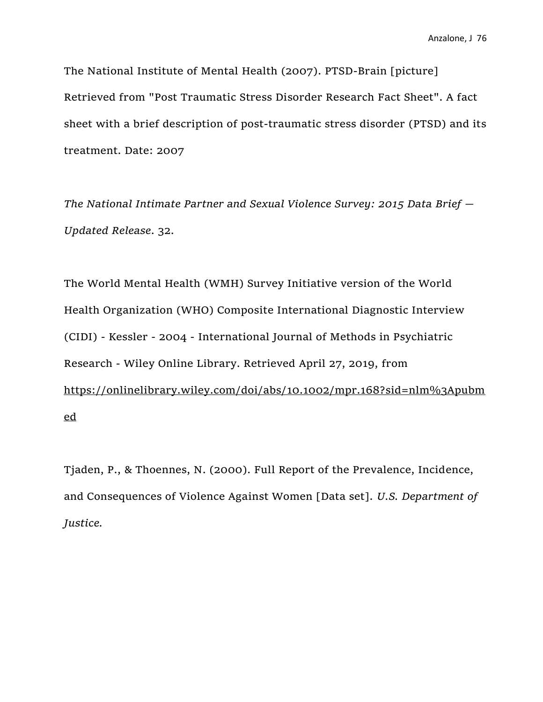Anzalone, J 76

The National Institute of Mental Health (2007). PTSD-Brain [picture] Retrieved from "Post Traumatic Stress Disorder Research Fact Sheet". A fact sheet with a brief description of post-traumatic stress disorder (PTSD) and its treatment. Date: 2007

*The National Intimate Partner and Sexual Violence Survey: 2015 Data Brief — Updated Release*. 32.

The World Mental Health (WMH) Survey Initiative version of the World Health Organization (WHO) Composite International Diagnostic Interview (CIDI) - Kessler - 2004 - International Journal of Methods in Psychiatric Research - Wiley Online Library. Retrieved April 27, 2019, from [https://onlinelibrary.wiley.com/doi/abs/10.1002/mpr.168?sid=nlm%3Apubm](https://onlinelibrary.wiley.com/doi/abs/10.1002/mpr.168?sid=nlm%3Apubmed) [ed](https://onlinelibrary.wiley.com/doi/abs/10.1002/mpr.168?sid=nlm%3Apubmed)

Tjaden, P., & Thoennes, N. (2000). Full Report of the Prevalence, Incidence, and Consequences of Violence Against Women [Data set]. *U.S. Department of Justice.*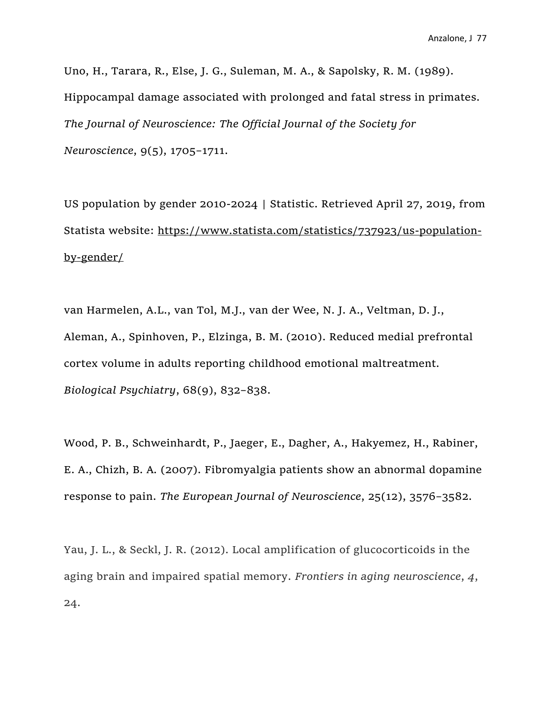Uno, H., Tarara, R., Else, J. G., Suleman, M. A., & Sapolsky, R. M. (1989). Hippocampal damage associated with prolonged and fatal stress in primates. *The Journal of Neuroscience: The Official Journal of the Society for Neuroscience*, 9(5), 1705–1711.

US population by gender 2010-2024 | Statistic. Retrieved April 27, 2019, from Statista website: [https://www.statista.com/statistics/737923/us-population](https://www.statista.com/statistics/737923/us-population-by-gender/)[by-gender/](https://www.statista.com/statistics/737923/us-population-by-gender/)

van Harmelen, A.L., van Tol, M.J., van der Wee, N. J. A., Veltman, D. J., Aleman, A., Spinhoven, P., Elzinga, B. M. (2010). Reduced medial prefrontal cortex volume in adults reporting childhood emotional maltreatment. *Biological Psychiatry*, 68(9), 832–838.

Wood, P. B., Schweinhardt, P., Jaeger, E., Dagher, A., Hakyemez, H., Rabiner, E. A., Chizh, B. A. (2007). Fibromyalgia patients show an abnormal dopamine response to pain. *The European Journal of Neuroscience*, 25(12), 3576–3582.

Yau, J. L., & Seckl, J. R. (2012). Local amplification of glucocorticoids in the aging brain and impaired spatial memory. *Frontiers in aging neuroscience*, *4*, 24.